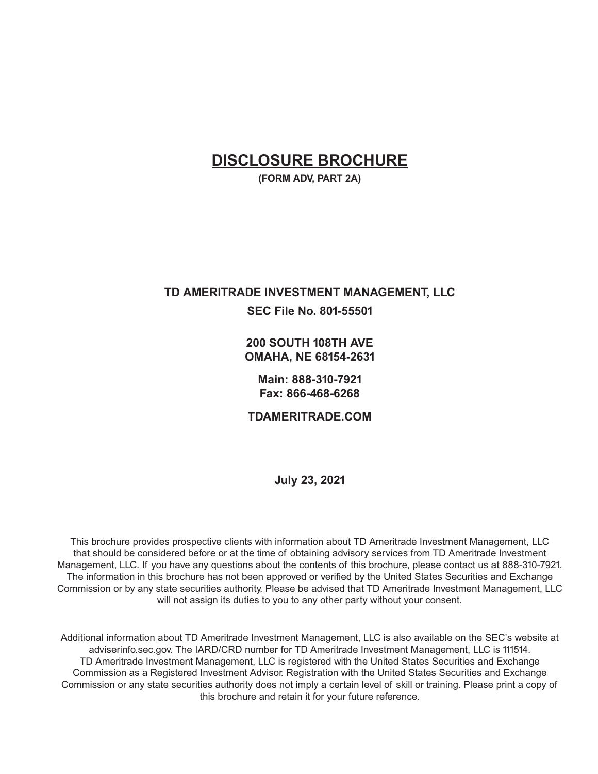# **DISCLOSURE BROCHURE**

**(FORM ADV, PART 2A)**

# **TD AMERITRADE INVESTMENT MANAGEMENT, LLC SEC File No. 801-55501**

**200 SOUTH 108TH AVE OMAHA, NE 68154-2631**

**Main: 888-310-7921 Fax: 866-468-6268**

**TDAMERITRADE.COM**

**July 23, 2021**

This brochure provides prospective clients with information about TD Ameritrade Investment Management, LLC that should be considered before or at the time of obtaining advisory services from TD Ameritrade Investment Management, LLC. If you have any questions about the contents of this brochure, please contact us at 888-310-7921. The information in this brochure has not been approved or verified by the United States Securities and Exchange Commission or by any state securities authority. Please be advised that TD Ameritrade Investment Management, LLC will not assign its duties to you to any other party without your consent.

Additional information about TD Ameritrade Investment Management, LLC is also available on the SEC's website at adviserinfo.sec.gov. The IARD/CRD number for TD Ameritrade Investment Management, LLC is 111514. TD Ameritrade Investment Management, LLC is registered with the United States Securities and Exchange Commission as a Registered Investment Advisor. Registration with the United States Securities and Exchange Commission or any state securities authority does not imply a certain level of skill or training. Please print a copy of this brochure and retain it for your future reference.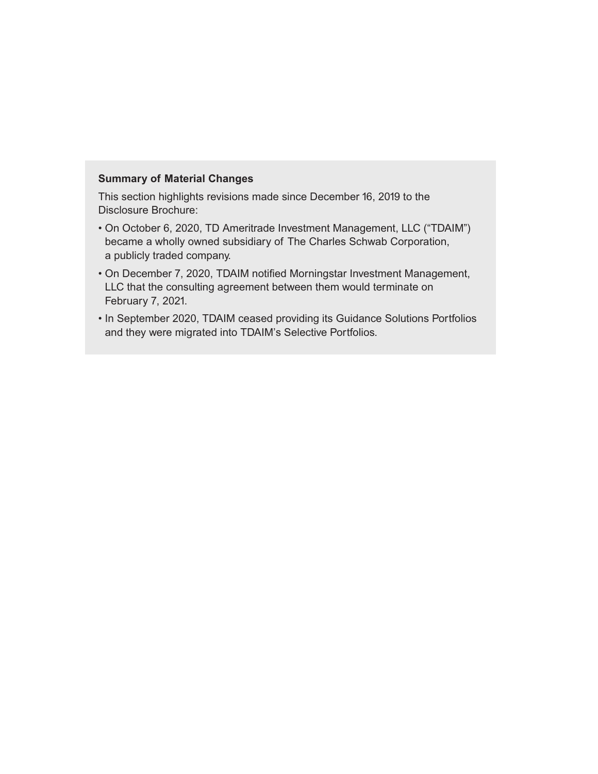## **Summary of Material Changes**

This section highlights revisions made since December 16, 2019 to the Disclosure Brochure:

- On October 6, 2020, TD Ameritrade Investment Management, LLC ("TDAIM") became a wholly owned subsidiary of The Charles Schwab Corporation, a publicly traded company.
- On December 7, 2020, TDAIM notified Morningstar Investment Management, LLC that the consulting agreement between them would terminate on February 7, 2021.
- In September 2020, TDAIM ceased providing its Guidance Solutions Portfolios and they were migrated into TDAIM's Selective Portfolios.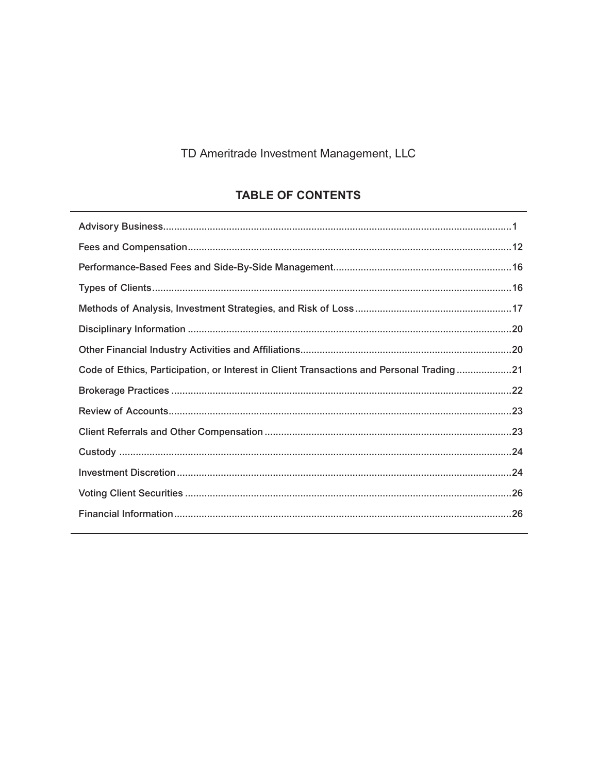# TD Ameritrade Investment Management, LLC

# **TABLE OF CONTENTS**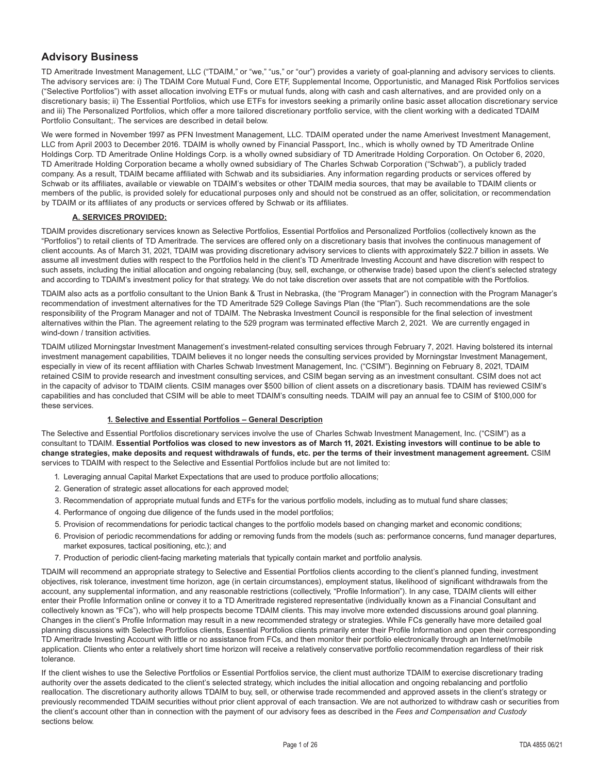# **Advisory Business**

TD Ameritrade Investment Management, LLC ("TDAIM," or "we," "us," or "our") provides a variety of goal-planning and advisory services to clients. The advisory services are: i) The TDAIM Core Mutual Fund, Core ETF, Supplemental Income, Opportunistic, and Managed Risk Portfolios services ("Selective Portfolios") with asset allocation involving ETFs or mutual funds, along with cash and cash alternatives, and are provided only on a discretionary basis; ii) The Essential Portfolios, which use ETFs for investors seeking a primarily online basic asset allocation discretionary service and iii) The Personalized Portfolios, which offer a more tailored discretionary portfolio service, with the client working with a dedicated TDAIM Portfolio Consultant;. The services are described in detail below.

We were formed in November 1997 as PFN Investment Management, LLC. TDAIM operated under the name Amerivest Investment Management, LLC from April 2003 to December 2016. TDAIM is wholly owned by Financial Passport, Inc., which is wholly owned by TD Ameritrade Online Holdings Corp. TD Ameritrade Online Holdings Corp. is a wholly owned subsidiary of TD Ameritrade Holding Corporation. On October 6, 2020, TD Ameritrade Holding Corporation became a wholly owned subsidiary of The Charles Schwab Corporation ("Schwab"), a publicly traded company. As a result, TDAIM became affiliated with Schwab and its subsidiaries. Any information regarding products or services offered by Schwab or its affiliates, available or viewable on TDAIM's websites or other TDAIM media sources, that may be available to TDAIM clients or members of the public, is provided solely for educational purposes only and should not be construed as an offer, solicitation, or recommendation by TDAIM or its affiliates of any products or services offered by Schwab or its affiliates.

#### **A. SERVICES PROVIDED:**

TDAIM provides discretionary services known as Selective Portfolios, Essential Portfolios and Personalized Portfolios (collectively known as the "Portfolios") to retail clients of TD Ameritrade. The services are offered only on a discretionary basis that involves the continuous management of client accounts. As of March 31, 2021, TDAIM was providing discretionary advisory services to clients with approximately \$22.7 billion in assets. We assume all investment duties with respect to the Portfolios held in the client's TD Ameritrade Investing Account and have discretion with respect to such assets, including the initial allocation and ongoing rebalancing (buy, sell, exchange, or otherwise trade) based upon the client's selected strategy and according to TDAIM's investment policy for that strategy. We do not take discretion over assets that are not compatible with the Portfolios.

TDAIM also acts as a portfolio consultant to the Union Bank & Trust in Nebraska, (the "Program Manager") in connection with the Program Manager's recommendation of investment alternatives for the TD Ameritrade 529 College Savings Plan (the "Plan"). Such recommendations are the sole responsibility of the Program Manager and not of TDAIM. The Nebraska Investment Council is responsible for the final selection of investment alternatives within the Plan. The agreement relating to the 529 program was terminated effective March 2, 2021. We are currently engaged in wind-down / transition activities.

TDAIM utilized Morningstar Investment Management's investment-related consulting services through February 7, 2021. Having bolstered its internal investment management capabilities, TDAIM believes it no longer needs the consulting services provided by Morningstar Investment Management, especially in view of its recent affiliation with Charles Schwab Investment Management, Inc. ("CSIM"). Beginning on February 8, 2021, TDAIM retained CSIM to provide research and investment consulting services, and CSIM began serving as an investment consultant. CSIM does not act in the capacity of advisor to TDAIM clients. CSIM manages over \$500 billion of client assets on a discretionary basis. TDAIM has reviewed CSIM's capabilities and has concluded that CSIM will be able to meet TDAIM's consulting needs. TDAIM will pay an annual fee to CSIM of \$100,000 for these services.

#### **1. Selective and Essential Portfolios – General Description**

The Selective and Essential Portfolios discretionary services involve the use of Charles Schwab Investment Management, Inc. ("CSIM") as a consultant to TDAIM. **Essential Portfolios was closed to new investors as of March 11, 2021. Existing investors will continue to be able to change strategies, make deposits and request withdrawals of funds, etc. per the terms of their investment management agreement.** CSIM services to TDAIM with respect to the Selective and Essential Portfolios include but are not limited to:

- 1. Leveraging annual Capital Market Expectations that are used to produce portfolio allocations;
- 2. Generation of strategic asset allocations for each approved model;
- 3. Recommendation of appropriate mutual funds and ETFs for the various portfolio models, including as to mutual fund share classes;
- 4. Performance of ongoing due diligence of the funds used in the model portfolios;
- 5. Provision of recommendations for periodic tactical changes to the portfolio models based on changing market and economic conditions;
- 6. Provision of periodic recommendations for adding or removing funds from the models (such as: performance concerns, fund manager departures, market exposures, tactical positioning, etc.); and
- 7. Production of periodic client-facing marketing materials that typically contain market and portfolio analysis.

TDAIM will recommend an appropriate strategy to Selective and Essential Portfolios clients according to the client's planned funding, investment objectives, risk tolerance, investment time horizon, age (in certain circumstances), employment status, likelihood of significant withdrawals from the account, any supplemental information, and any reasonable restrictions (collectively, "Profile Information"). In any case, TDAIM clients will either enter their Profile Information online or convey it to a TD Ameritrade registered representative (individually known as a Financial Consultant and collectively known as "FCs"), who will help prospects become TDAIM clients. This may involve more extended discussions around goal planning. Changes in the client's Profile Information may result in a new recommended strategy or strategies. While FCs generally have more detailed goal planning discussions with Selective Portfolios clients, Essential Portfolios clients primarily enter their Profile Information and open their corresponding TD Ameritrade Investing Account with little or no assistance from FCs, and then monitor their portfolio electronically through an Internet/mobile application. Clients who enter a relatively short time horizon will receive a relatively conservative portfolio recommendation regardless of their risk tolerance.

If the client wishes to use the Selective Portfolios or Essential Portfolios service, the client must authorize TDAIM to exercise discretionary trading authority over the assets dedicated to the client's selected strategy, which includes the initial allocation and ongoing rebalancing and portfolio reallocation. The discretionary authority allows TDAIM to buy, sell, or otherwise trade recommended and approved assets in the client's strategy or previously recommended TDAIM securities without prior client approval of each transaction. We are not authorized to withdraw cash or securities from the client's account other than in connection with the payment of our advisory fees as described in the *Fees and Compensation and Custody* sections below.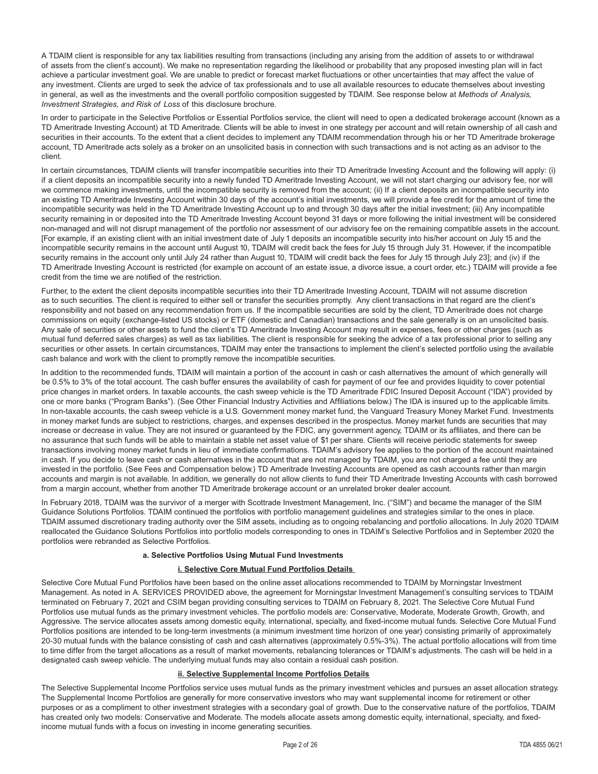A TDAIM client is responsible for any tax liabilities resulting from transactions (including any arising from the addition of assets to or withdrawal of assets from the client's account). We make no representation regarding the likelihood or probability that any proposed investing plan will in fact achieve a particular investment goal. We are unable to predict or forecast market fluctuations or other uncertainties that may affect the value of any investment. Clients are urged to seek the advice of tax professionals and to use all available resources to educate themselves about investing in general, as well as the investments and the overall portfolio composition suggested by TDAIM. See response below at *Methods of Analysis, Investment Strategies, and Risk of Loss* of this disclosure brochure.

In order to participate in the Selective Portfolios or Essential Portfolios service, the client will need to open a dedicated brokerage account (known as a TD Ameritrade Investing Account) at TD Ameritrade. Clients will be able to invest in one strategy per account and will retain ownership of all cash and securities in their accounts. To the extent that a client decides to implement any TDAIM recommendation through his or her TD Ameritrade brokerage account, TD Ameritrade acts solely as a broker on an unsolicited basis in connection with such transactions and is not acting as an advisor to the client.

In certain circumstances, TDAIM clients will transfer incompatible securities into their TD Ameritrade Investing Account and the following will apply: (i) if a client deposits an incompatible security into a newly funded TD Ameritrade Investing Account, we will not start charging our advisory fee, nor will we commence making investments, until the incompatible security is removed from the account; (ii) If a client deposits an incompatible security into an existing TD Ameritrade Investing Account within 30 days of the account's initial investments, we will provide a fee credit for the amount of time the incompatible security was held in the TD Ameritrade Investing Account up to and through 30 days after the initial investment; (iii) Any incompatible security remaining in or deposited into the TD Ameritrade Investing Account beyond 31 days or more following the initial investment will be considered non-managed and will not disrupt management of the portfolio nor assessment of our advisory fee on the remaining compatible assets in the account. [For example, if an existing client with an initial investment date of July 1 deposits an incompatible security into his/her account on July 15 and the incompatible security remains in the account until August 10, TDAIM will credit back the fees for July 15 through July 31. However, if the incompatible security remains in the account only until July 24 rather than August 10, TDAIM will credit back the fees for July 15 through July 23]; and (iv) if the TD Ameritrade Investing Account is restricted (for example on account of an estate issue, a divorce issue, a court order, etc.) TDAIM will provide a fee credit from the time we are notified of the restriction.

Further, to the extent the client deposits incompatible securities into their TD Ameritrade Investing Account, TDAIM will not assume discretion as to such securities. The client is required to either sell or transfer the securities promptly. Any client transactions in that regard are the client's responsibility and not based on any recommendation from us. If the incompatible securities are sold by the client, TD Ameritrade does not charge commissions on equity (exchange-listed US stocks) or ETF (domestic and Canadian) transactions and the sale generally is on an unsolicited basis. Any sale of securities or other assets to fund the client's TD Ameritrade Investing Account may result in expenses, fees or other charges (such as mutual fund deferred sales charges) as well as tax liabilities. The client is responsible for seeking the advice of a tax professional prior to selling any securities or other assets. In certain circumstances, TDAIM may enter the transactions to implement the client's selected portfolio using the available cash balance and work with the client to promptly remove the incompatible securities.

In addition to the recommended funds, TDAIM will maintain a portion of the account in cash or cash alternatives the amount of which generally will be 0.5% to 3% of the total account. The cash buffer ensures the availability of cash for payment of our fee and provides liquidity to cover potential price changes in market orders. In taxable accounts, the cash sweep vehicle is the TD Ameritrade FDIC Insured Deposit Account ("IDA") provided by one or more banks ("Program Banks"). (See Other Financial Industry Activities and Affiliations below.) The IDA is insured up to the applicable limits. In non-taxable accounts, the cash sweep vehicle is a U.S. Government money market fund, the Vanguard Treasury Money Market Fund. Investments in money market funds are subject to restrictions, charges, and expenses described in the prospectus. Money market funds are securities that may increase or decrease in value. They are not insured or guaranteed by the FDIC, any government agency, TDAIM or its affiliates, and there can be no assurance that such funds will be able to maintain a stable net asset value of \$1 per share. Clients will receive periodic statements for sweep transactions involving money market funds in lieu of immediate confirmations. TDAIM's advisory fee applies to the portion of the account maintained in cash. If you decide to leave cash or cash alternatives in the account that are not managed by TDAIM, you are not charged a fee until they are invested in the portfolio. (See Fees and Compensation below.) TD Ameritrade Investing Accounts are opened as cash accounts rather than margin accounts and margin is not available. In addition, we generally do not allow clients to fund their TD Ameritrade Investing Accounts with cash borrowed from a margin account, whether from another TD Ameritrade brokerage account or an unrelated broker dealer account.

In February 2018, TDAIM was the survivor of a merger with Scottrade Investment Management, Inc. ("SIM") and became the manager of the SIM Guidance Solutions Portfolios. TDAIM continued the portfolios with portfolio management guidelines and strategies similar to the ones in place. TDAIM assumed discretionary trading authority over the SIM assets, including as to ongoing rebalancing and portfolio allocations. In July 2020 TDAIM reallocated the Guidance Solutions Portfolios into portfolio models corresponding to ones in TDAIM's Selective Portfolios and in September 2020 the portfolios were rebranded as Selective Portfolios.

#### **a. Selective Portfolios Using Mutual Fund Investments**

#### **i. Selective Core Mutual Fund Portfolios Details**

Selective Core Mutual Fund Portfolios have been based on the online asset allocations recommended to TDAIM by Morningstar Investment Management. As noted in A. SERVICES PROVIDED above, the agreement for Morningstar Investment Management's consulting services to TDAIM terminated on February 7, 2021 and CSIM began providing consulting services to TDAIM on February 8, 2021. The Selective Core Mutual Fund Portfolios use mutual funds as the primary investment vehicles. The portfolio models are: Conservative, Moderate, Moderate Growth, Growth, and Aggressive. The service allocates assets among domestic equity, international, specialty, and fixed-income mutual funds. Selective Core Mutual Fund Portfolios positions are intended to be long-term investments (a minimum investment time horizon of one year) consisting primarily of approximately 20-30 mutual funds with the balance consisting of cash and cash alternatives (approximately 0.5%-3%). The actual portfolio allocations will from time to time differ from the target allocations as a result of market movements, rebalancing tolerances or TDAIM's adjustments. The cash will be held in a designated cash sweep vehicle. The underlying mutual funds may also contain a residual cash position.

#### **ii. Selective Supplemental Income Portfolios Details**

The Selective Supplemental Income Portfolios service uses mutual funds as the primary investment vehicles and pursues an asset allocation strategy. The Supplemental Income Portfolios are generally for more conservative investors who may want supplemental income for retirement or other purposes or as a compliment to other investment strategies with a secondary goal of growth. Due to the conservative nature of the portfolios, TDAIM has created only two models: Conservative and Moderate. The models allocate assets among domestic equity, international, specialty, and fixedincome mutual funds with a focus on investing in income generating securities.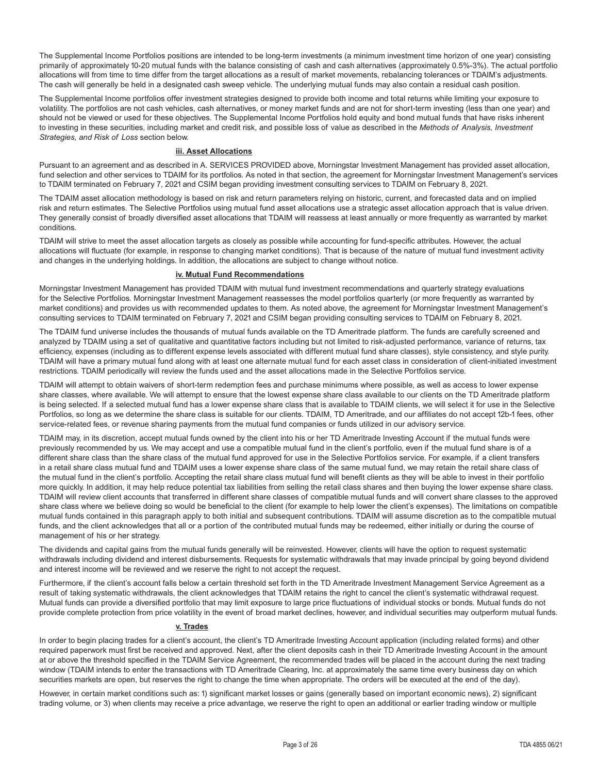The Supplemental Income Portfolios positions are intended to be long-term investments (a minimum investment time horizon of one year) consisting primarily of approximately 10-20 mutual funds with the balance consisting of cash and cash alternatives (approximately 0.5%-3%). The actual portfolio allocations will from time to time differ from the target allocations as a result of market movements, rebalancing tolerances or TDAIM's adjustments. The cash will generally be held in a designated cash sweep vehicle. The underlying mutual funds may also contain a residual cash position.

The Supplemental Income portfolios offer investment strategies designed to provide both income and total returns while limiting your exposure to volatility. The portfolios are not cash vehicles, cash alternatives, or money market funds and are not for short-term investing (less than one year) and should not be viewed or used for these objectives. The Supplemental Income Portfolios hold equity and bond mutual funds that have risks inherent to investing in these securities, including market and credit risk, and possible loss of value as described in the *Methods of Analysis, Investment Strategies, and Risk of Loss* section below.

#### **iii. Asset Allocations**

Pursuant to an agreement and as described in A. SERVICES PROVIDED above, Morningstar Investment Management has provided asset allocation, fund selection and other services to TDAIM for its portfolios. As noted in that section, the agreement for Morningstar Investment Management's services to TDAIM terminated on February 7, 2021 and CSIM began providing investment consulting services to TDAIM on February 8, 2021.

The TDAIM asset allocation methodology is based on risk and return parameters relying on historic, current, and forecasted data and on implied risk and return estimates. The Selective Portfolios using mutual fund asset allocations use a strategic asset allocation approach that is value driven. They generally consist of broadly diversified asset allocations that TDAIM will reassess at least annually or more frequently as warranted by market conditions.

TDAIM will strive to meet the asset allocation targets as closely as possible while accounting for fund-specific attributes. However, the actual allocations will fluctuate (for example, in response to changing market conditions). That is because of the nature of mutual fund investment activity and changes in the underlying holdings. In addition, the allocations are subject to change without notice.

#### **iv. Mutual Fund Recommendations**

Morningstar Investment Management has provided TDAIM with mutual fund investment recommendations and quarterly strategy evaluations for the Selective Portfolios. Morningstar Investment Management reassesses the model portfolios quarterly (or more frequently as warranted by market conditions) and provides us with recommended updates to them. As noted above, the agreement for Morningstar Investment Management's consulting services to TDAIM terminated on February 7, 2021 and CSIM began providing consulting services to TDAIM on February 8, 2021.

The TDAIM fund universe includes the thousands of mutual funds available on the TD Ameritrade platform. The funds are carefully screened and analyzed by TDAIM using a set of qualitative and quantitative factors including but not limited to risk-adjusted performance, variance of returns, tax efficiency, expenses (including as to different expense levels associated with different mutual fund share classes), style consistency, and style purity. TDAIM will have a primary mutual fund along with at least one alternate mutual fund for each asset class in consideration of client-initiated investment restrictions. TDAIM periodically will review the funds used and the asset allocations made in the Selective Portfolios service.

TDAIM will attempt to obtain waivers of short-term redemption fees and purchase minimums where possible, as well as access to lower expense share classes, where available. We will attempt to ensure that the lowest expense share class available to our clients on the TD Ameritrade platform is being selected. If a selected mutual fund has a lower expense share class that is available to TDAIM clients, we will select it for use in the Selective Portfolios, so long as we determine the share class is suitable for our clients. TDAIM, TD Ameritrade, and our affiliates do not accept 12b-1 fees, other service-related fees, or revenue sharing payments from the mutual fund companies or funds utilized in our advisory service.

TDAIM may, in its discretion, accept mutual funds owned by the client into his or her TD Ameritrade Investing Account if the mutual funds were previously recommended by us. We may accept and use a compatible mutual fund in the client's portfolio, even if the mutual fund share is of a different share class than the share class of the mutual fund approved for use in the Selective Portfolios service. For example, if a client transfers in a retail share class mutual fund and TDAIM uses a lower expense share class of the same mutual fund, we may retain the retail share class of the mutual fund in the client's portfolio. Accepting the retail share class mutual fund will benefit clients as they will be able to invest in their portfolio more quickly. In addition, it may help reduce potential tax liabilities from selling the retail class shares and then buying the lower expense share class. TDAIM will review client accounts that transferred in different share classes of compatible mutual funds and will convert share classes to the approved share class where we believe doing so would be beneficial to the client (for example to help lower the client's expenses). The limitations on compatible mutual funds contained in this paragraph apply to both initial and subsequent contributions. TDAIM will assume discretion as to the compatible mutual funds, and the client acknowledges that all or a portion of the contributed mutual funds may be redeemed, either initially or during the course of management of his or her strategy.

The dividends and capital gains from the mutual funds generally will be reinvested. However, clients will have the option to request systematic withdrawals including dividend and interest disbursements. Requests for systematic withdrawals that may invade principal by going beyond dividend and interest income will be reviewed and we reserve the right to not accept the request.

Furthermore, if the client's account falls below a certain threshold set forth in the TD Ameritrade Investment Management Service Agreement as a result of taking systematic withdrawals, the client acknowledges that TDAIM retains the right to cancel the client's systematic withdrawal request. Mutual funds can provide a diversified portfolio that may limit exposure to large price fluctuations of individual stocks or bonds. Mutual funds do not provide complete protection from price volatility in the event of broad market declines, however, and individual securities may outperform mutual funds.

#### **v. Trades**

In order to begin placing trades for a client's account, the client's TD Ameritrade Investing Account application (including related forms) and other required paperwork must first be received and approved. Next, after the client deposits cash in their TD Ameritrade Investing Account in the amount at or above the threshold specified in the TDAIM Service Agreement, the recommended trades will be placed in the account during the next trading window (TDAIM intends to enter the transactions with TD Ameritrade Clearing, Inc. at approximately the same time every business day on which securities markets are open, but reserves the right to change the time when appropriate. The orders will be executed at the end of the day).

However, in certain market conditions such as: 1) significant market losses or gains (generally based on important economic news), 2) significant trading volume, or 3) when clients may receive a price advantage, we reserve the right to open an additional or earlier trading window or multiple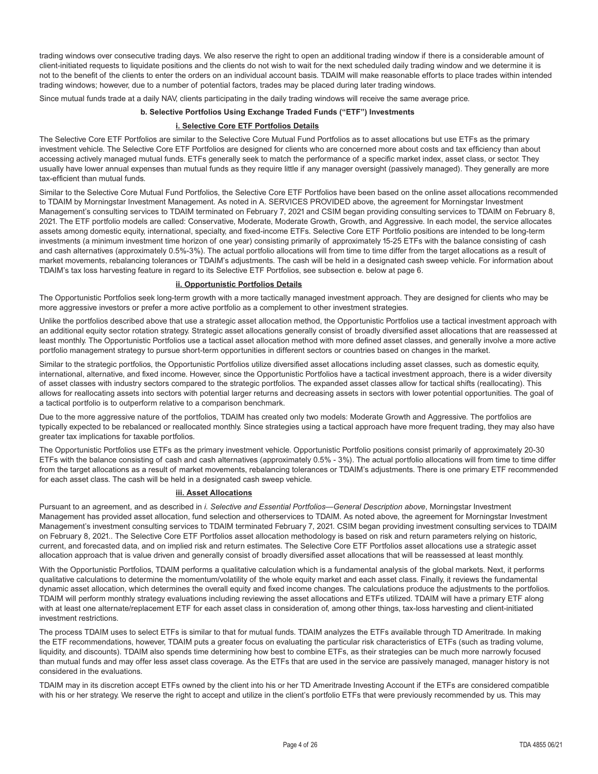trading windows over consecutive trading days. We also reserve the right to open an additional trading window if there is a considerable amount of client-initiated requests to liquidate positions and the clients do not wish to wait for the next scheduled daily trading window and we determine it is not to the benefit of the clients to enter the orders on an individual account basis. TDAIM will make reasonable efforts to place trades within intended trading windows; however, due to a number of potential factors, trades may be placed during later trading windows.

Since mutual funds trade at a daily NAV, clients participating in the daily trading windows will receive the same average price.

#### **b. Selective Portfolios Using Exchange Traded Funds ("ETF") Investments**

#### **i. Selective Core ETF Portfolios Details**

The Selective Core ETF Portfolios are similar to the Selective Core Mutual Fund Portfolios as to asset allocations but use ETFs as the primary investment vehicle. The Selective Core ETF Portfolios are designed for clients who are concerned more about costs and tax efficiency than about accessing actively managed mutual funds. ETFs generally seek to match the performance of a specific market index, asset class, or sector. They usually have lower annual expenses than mutual funds as they require little if any manager oversight (passively managed). They generally are more tax-efficient than mutual funds.

Similar to the Selective Core Mutual Fund Portfolios, the Selective Core ETF Portfolios have been based on the online asset allocations recommended to TDAIM by Morningstar Investment Management. As noted in A. SERVICES PROVIDED above, the agreement for Morningstar Investment Management's consulting services to TDAIM terminated on February 7, 2021 and CSIM began providing consulting services to TDAIM on February 8, 2021. The ETF portfolio models are called: Conservative, Moderate, Moderate Growth, Growth, and Aggressive. In each model, the service allocates assets among domestic equity, international, specialty, and fixed-income ETFs. Selective Core ETF Portfolio positions are intended to be long-term investments (a minimum investment time horizon of one year) consisting primarily of approximately 15-25 ETFs with the balance consisting of cash and cash alternatives (approximately 0.5%-3%). The actual portfolio allocations will from time to time differ from the target allocations as a result of market movements, rebalancing tolerances or TDAIM's adjustments. The cash will be held in a designated cash sweep vehicle. For information about TDAIM's tax loss harvesting feature in regard to its Selective ETF Portfolios, see subsection e. below at page 6.

#### **ii. Opportunistic Portfolios Details**

The Opportunistic Portfolios seek long-term growth with a more tactically managed investment approach. They are designed for clients who may be more aggressive investors or prefer a more active portfolio as a complement to other investment strategies.

Unlike the portfolios described above that use a strategic asset allocation method, the Opportunistic Portfolios use a tactical investment approach with an additional equity sector rotation strategy. Strategic asset allocations generally consist of broadly diversified asset allocations that are reassessed at least monthly. The Opportunistic Portfolios use a tactical asset allocation method with more defined asset classes, and generally involve a more active portfolio management strategy to pursue short-term opportunities in different sectors or countries based on changes in the market.

Similar to the strategic portfolios, the Opportunistic Portfolios utilize diversified asset allocations including asset classes, such as domestic equity, international, alternative, and fixed income. However, since the Opportunistic Portfolios have a tactical investment approach, there is a wider diversity of asset classes with industry sectors compared to the strategic portfolios. The expanded asset classes allow for tactical shifts (reallocating). This allows for reallocating assets into sectors with potential larger returns and decreasing assets in sectors with lower potential opportunities. The goal of a tactical portfolio is to outperform relative to a comparison benchmark.

Due to the more aggressive nature of the portfolios, TDAIM has created only two models: Moderate Growth and Aggressive. The portfolios are typically expected to be rebalanced or reallocated monthly. Since strategies using a tactical approach have more frequent trading, they may also have greater tax implications for taxable portfolios.

The Opportunistic Portfolios use ETFs as the primary investment vehicle. Opportunistic Portfolio positions consist primarily of approximately 20-30 ETFs with the balance consisting of cash and cash alternatives (approximately 0.5% - 3%). The actual portfolio allocations will from time to time differ from the target allocations as a result of market movements, rebalancing tolerances or TDAIM's adjustments. There is one primary ETF recommended for each asset class. The cash will be held in a designated cash sweep vehicle.

#### **iii. Asset Allocations**

Pursuant to an agreement, and as described in *i. Selective and Essential Portfolios—General Description above*, Morningstar Investment Management has provided asset allocation, fund selection and otherservices to TDAIM. As noted above, the agreement for Morningstar Investment Management's investment consulting services to TDAIM terminated February 7, 2021. CSIM began providing investment consulting services to TDAIM on February 8, 2021.. The Selective Core ETF Portfolios asset allocation methodology is based on risk and return parameters relying on historic, current, and forecasted data, and on implied risk and return estimates. The Selective Core ETF Portfolios asset allocations use a strategic asset allocation approach that is value driven and generally consist of broadly diversified asset allocations that will be reassessed at least monthly.

With the Opportunistic Portfolios, TDAIM performs a qualitative calculation which is a fundamental analysis of the global markets. Next, it performs qualitative calculations to determine the momentum/volatility of the whole equity market and each asset class. Finally, it reviews the fundamental dynamic asset allocation, which determines the overall equity and fixed income changes. The calculations produce the adjustments to the portfolios. TDAIM will perform monthly strategy evaluations including reviewing the asset allocations and ETFs utilized. TDAIM will have a primary ETF along with at least one alternate/replacement ETF for each asset class in consideration of, among other things, tax-loss harvesting and client-initiated investment restrictions.

The process TDAIM uses to select ETFs is similar to that for mutual funds. TDAIM analyzes the ETFs available through TD Ameritrade. In making the ETF recommendations, however, TDAIM puts a greater focus on evaluating the particular risk characteristics of ETFs (such as trading volume, liquidity, and discounts). TDAIM also spends time determining how best to combine ETFs, as their strategies can be much more narrowly focused than mutual funds and may offer less asset class coverage. As the ETFs that are used in the service are passively managed, manager history is not considered in the evaluations.

TDAIM may in its discretion accept ETFs owned by the client into his or her TD Ameritrade Investing Account if the ETFs are considered compatible with his or her strategy. We reserve the right to accept and utilize in the client's portfolio ETFs that were previously recommended by us. This may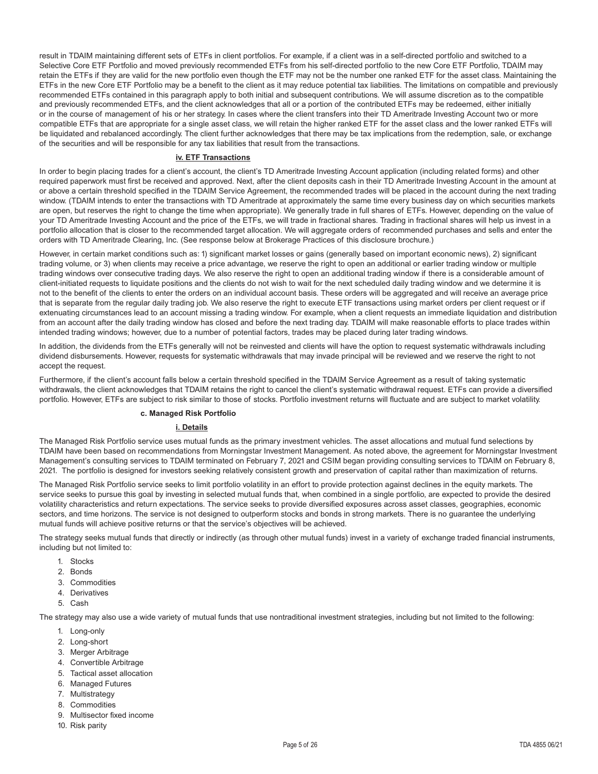result in TDAIM maintaining different sets of ETFs in client portfolios. For example, if a client was in a self-directed portfolio and switched to a Selective Core ETF Portfolio and moved previously recommended ETFs from his self-directed portfolio to the new Core ETF Portfolio, TDAIM may retain the ETFs if they are valid for the new portfolio even though the ETF may not be the number one ranked ETF for the asset class. Maintaining the ETFs in the new Core ETF Portfolio may be a benefit to the client as it may reduce potential tax liabilities. The limitations on compatible and previously recommended ETFs contained in this paragraph apply to both initial and subsequent contributions. We will assume discretion as to the compatible and previously recommended ETFs, and the client acknowledges that all or a portion of the contributed ETFs may be redeemed, either initially or in the course of management of his or her strategy. In cases where the client transfers into their TD Ameritrade Investing Account two or more compatible ETFs that are appropriate for a single asset class, we will retain the higher ranked ETF for the asset class and the lower ranked ETFs will be liquidated and rebalanced accordingly. The client further acknowledges that there may be tax implications from the redemption, sale, or exchange of the securities and will be responsible for any tax liabilities that result from the transactions.

#### **iv. ETF Transactions**

In order to begin placing trades for a client's account, the client's TD Ameritrade Investing Account application (including related forms) and other required paperwork must first be received and approved. Next, after the client deposits cash in their TD Ameritrade Investing Account in the amount at or above a certain threshold specified in the TDAIM Service Agreement, the recommended trades will be placed in the account during the next trading window. (TDAIM intends to enter the transactions with TD Ameritrade at approximately the same time every business day on which securities markets are open, but reserves the right to change the time when appropriate). We generally trade in full shares of ETFs. However, depending on the value of your TD Ameritrade Investing Account and the price of the ETFs, we will trade in fractional shares. Trading in fractional shares will help us invest in a portfolio allocation that is closer to the recommended target allocation. We will aggregate orders of recommended purchases and sells and enter the orders with TD Ameritrade Clearing, Inc. (See response below at Brokerage Practices of this disclosure brochure.)

However, in certain market conditions such as: 1) significant market losses or gains (generally based on important economic news), 2) significant trading volume, or 3) when clients may receive a price advantage, we reserve the right to open an additional or earlier trading window or multiple trading windows over consecutive trading days. We also reserve the right to open an additional trading window if there is a considerable amount of client-initiated requests to liquidate positions and the clients do not wish to wait for the next scheduled daily trading window and we determine it is not to the benefit of the clients to enter the orders on an individual account basis. These orders will be aggregated and will receive an average price that is separate from the regular daily trading job. We also reserve the right to execute ETF transactions using market orders per client request or if extenuating circumstances lead to an account missing a trading window. For example, when a client requests an immediate liquidation and distribution from an account after the daily trading window has closed and before the next trading day. TDAIM will make reasonable efforts to place trades within intended trading windows; however, due to a number of potential factors, trades may be placed during later trading windows.

In addition, the dividends from the ETFs generally will not be reinvested and clients will have the option to request systematic withdrawals including dividend disbursements. However, requests for systematic withdrawals that may invade principal will be reviewed and we reserve the right to not accept the request.

Furthermore, if the client's account falls below a certain threshold specified in the TDAIM Service Agreement as a result of taking systematic withdrawals, the client acknowledges that TDAIM retains the right to cancel the client's systematic withdrawal request. ETFs can provide a diversified portfolio. However, ETFs are subject to risk similar to those of stocks. Portfolio investment returns will fluctuate and are subject to market volatility.

#### **c. Managed Risk Portfolio**

#### **i. Details**

The Managed Risk Portfolio service uses mutual funds as the primary investment vehicles. The asset allocations and mutual fund selections by TDAIM have been based on recommendations from Morningstar Investment Management. As noted above, the agreement for Morningstar Investment Management's consulting services to TDAIM terminated on February 7, 2021 and CSIM began providing consulting services to TDAIM on February 8, 2021. The portfolio is designed for investors seeking relatively consistent growth and preservation of capital rather than maximization of returns.

The Managed Risk Portfolio service seeks to limit portfolio volatility in an effort to provide protection against declines in the equity markets. The service seeks to pursue this goal by investing in selected mutual funds that, when combined in a single portfolio, are expected to provide the desired volatility characteristics and return expectations. The service seeks to provide diversified exposures across asset classes, geographies, economic sectors, and time horizons. The service is not designed to outperform stocks and bonds in strong markets. There is no guarantee the underlying mutual funds will achieve positive returns or that the service's objectives will be achieved.

The strategy seeks mutual funds that directly or indirectly (as through other mutual funds) invest in a variety of exchange traded financial instruments, including but not limited to:

- 1. Stocks
- 2. Bonds
- 3. Commodities
- 4. Derivatives
- 5. Cash

The strategy may also use a wide variety of mutual funds that use nontraditional investment strategies, including but not limited to the following:

- 1. Long-only
- 2. Long-short
- 3. Merger Arbitrage
- 4. Convertible Arbitrage
- 5. Tactical asset allocation
- 6. Managed Futures
- 7. Multistrategy
- 8. Commodities
- 9. Multisector fixed income
- 10. Risk parity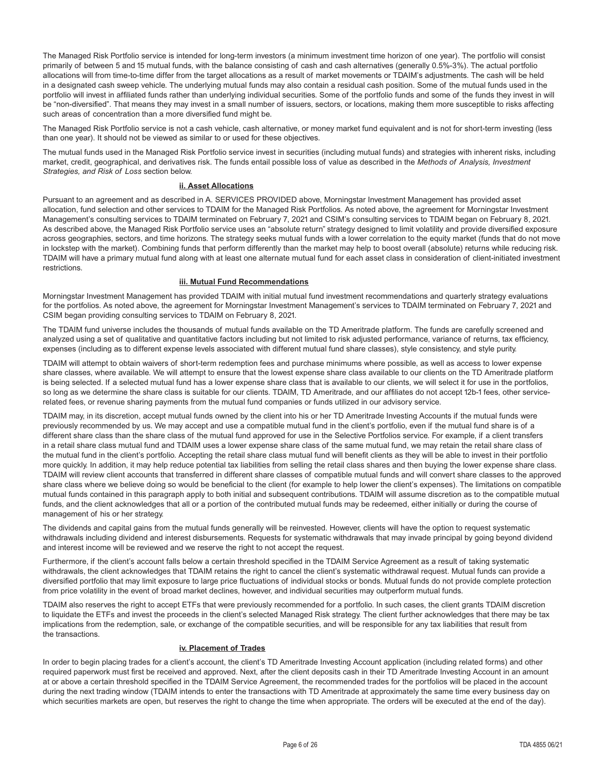The Managed Risk Portfolio service is intended for long-term investors (a minimum investment time horizon of one year). The portfolio will consist primarily of between 5 and 15 mutual funds, with the balance consisting of cash and cash alternatives (generally 0.5%-3%). The actual portfolio allocations will from time-to-time differ from the target allocations as a result of market movements or TDAIM's adjustments. The cash will be held in a designated cash sweep vehicle. The underlying mutual funds may also contain a residual cash position. Some of the mutual funds used in the portfolio will invest in affiliated funds rather than underlying individual securities. Some of the portfolio funds and some of the funds they invest in will be "non-diversified". That means they may invest in a small number of issuers, sectors, or locations, making them more susceptible to risks affecting such areas of concentration than a more diversified fund might be.

The Managed Risk Portfolio service is not a cash vehicle, cash alternative, or money market fund equivalent and is not for short-term investing (less than one year). It should not be viewed as similar to or used for these objectives.

The mutual funds used in the Managed Risk Portfolio service invest in securities (including mutual funds) and strategies with inherent risks, including market, credit, geographical, and derivatives risk. The funds entail possible loss of value as described in the *Methods of Analysis, Investment Strategies, and Risk of Loss* section below.

#### **ii. Asset Allocations**

Pursuant to an agreement and as described in A. SERVICES PROVIDED above, Morningstar Investment Management has provided asset allocation, fund selection and other services to TDAIM for the Managed Risk Portfolios. As noted above, the agreement for Morningstar Investment Management's consulting services to TDAIM terminated on February 7, 2021 and CSIM's consulting services to TDAIM began on February 8, 2021. As described above, the Managed Risk Portfolio service uses an "absolute return" strategy designed to limit volatility and provide diversified exposure across geographies, sectors, and time horizons. The strategy seeks mutual funds with a lower correlation to the equity market (funds that do not move in lockstep with the market). Combining funds that perform differently than the market may help to boost overall (absolute) returns while reducing risk. TDAIM will have a primary mutual fund along with at least one alternate mutual fund for each asset class in consideration of client-initiated investment restrictions.

#### **iii. Mutual Fund Recommendations**

Morningstar Investment Management has provided TDAIM with initial mutual fund investment recommendations and quarterly strategy evaluations for the portfolios. As noted above, the agreement for Morningstar Investment Management's services to TDAIM terminated on February 7, 2021 and CSIM began providing consulting services to TDAIM on February 8, 2021.

The TDAIM fund universe includes the thousands of mutual funds available on the TD Ameritrade platform. The funds are carefully screened and analyzed using a set of qualitative and quantitative factors including but not limited to risk adjusted performance, variance of returns, tax efficiency, expenses (including as to different expense levels associated with different mutual fund share classes), style consistency, and style purity.

TDAIM will attempt to obtain waivers of short-term redemption fees and purchase minimums where possible, as well as access to lower expense share classes, where available. We will attempt to ensure that the lowest expense share class available to our clients on the TD Ameritrade platform is being selected. If a selected mutual fund has a lower expense share class that is available to our clients, we will select it for use in the portfolios, so long as we determine the share class is suitable for our clients. TDAIM, TD Ameritrade, and our affiliates do not accept 12b-1 fees, other servicerelated fees, or revenue sharing payments from the mutual fund companies or funds utilized in our advisory service.

TDAIM may, in its discretion, accept mutual funds owned by the client into his or her TD Ameritrade Investing Accounts if the mutual funds were previously recommended by us. We may accept and use a compatible mutual fund in the client's portfolio, even if the mutual fund share is of a different share class than the share class of the mutual fund approved for use in the Selective Portfolios service. For example, if a client transfers in a retail share class mutual fund and TDAIM uses a lower expense share class of the same mutual fund, we may retain the retail share class of the mutual fund in the client's portfolio. Accepting the retail share class mutual fund will benefit clients as they will be able to invest in their portfolio more quickly. In addition, it may help reduce potential tax liabilities from selling the retail class shares and then buying the lower expense share class. TDAIM will review client accounts that transferred in different share classes of compatible mutual funds and will convert share classes to the approved share class where we believe doing so would be beneficial to the client (for example to help lower the client's expenses). The limitations on compatible mutual funds contained in this paragraph apply to both initial and subsequent contributions. TDAIM will assume discretion as to the compatible mutual funds, and the client acknowledges that all or a portion of the contributed mutual funds may be redeemed, either initially or during the course of management of his or her strategy.

The dividends and capital gains from the mutual funds generally will be reinvested. However, clients will have the option to request systematic withdrawals including dividend and interest disbursements. Requests for systematic withdrawals that may invade principal by going beyond dividend and interest income will be reviewed and we reserve the right to not accept the request.

Furthermore, if the client's account falls below a certain threshold specified in the TDAIM Service Agreement as a result of taking systematic withdrawals, the client acknowledges that TDAIM retains the right to cancel the client's systematic withdrawal request. Mutual funds can provide a diversified portfolio that may limit exposure to large price fluctuations of individual stocks or bonds. Mutual funds do not provide complete protection from price volatility in the event of broad market declines, however, and individual securities may outperform mutual funds.

TDAIM also reserves the right to accept ETFs that were previously recommended for a portfolio. In such cases, the client grants TDAIM discretion to liquidate the ETFs and invest the proceeds in the client's selected Managed Risk strategy. The client further acknowledges that there may be tax implications from the redemption, sale, or exchange of the compatible securities, and will be responsible for any tax liabilities that result from the transactions.

#### **iv. Placement of Trades**

In order to begin placing trades for a client's account, the client's TD Ameritrade Investing Account application (including related forms) and other required paperwork must first be received and approved. Next, after the client deposits cash in their TD Ameritrade Investing Account in an amount at or above a certain threshold specified in the TDAIM Service Agreement, the recommended trades for the portfolios will be placed in the account during the next trading window (TDAIM intends to enter the transactions with TD Ameritrade at approximately the same time every business day on which securities markets are open, but reserves the right to change the time when appropriate. The orders will be executed at the end of the day).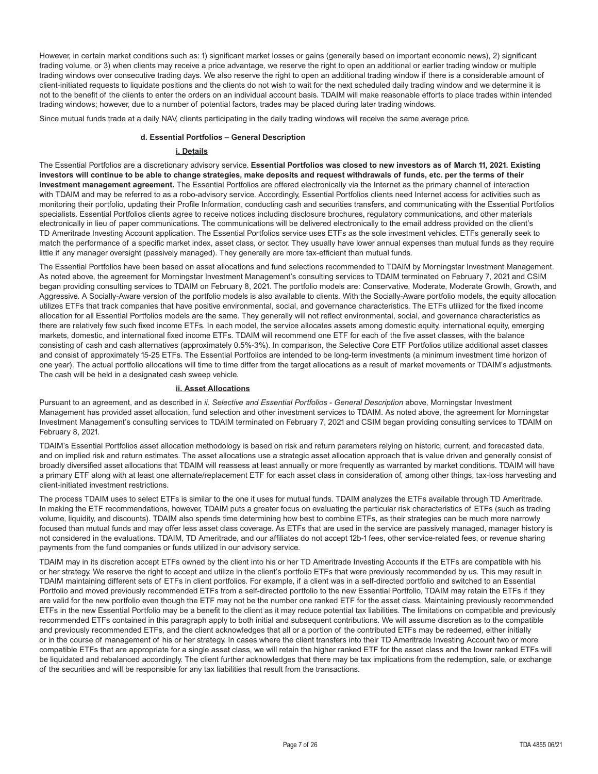However, in certain market conditions such as: 1) significant market losses or gains (generally based on important economic news), 2) significant trading volume, or 3) when clients may receive a price advantage, we reserve the right to open an additional or earlier trading window or multiple trading windows over consecutive trading days. We also reserve the right to open an additional trading window if there is a considerable amount of client-initiated requests to liquidate positions and the clients do not wish to wait for the next scheduled daily trading window and we determine it is not to the benefit of the clients to enter the orders on an individual account basis. TDAIM will make reasonable efforts to place trades within intended trading windows; however, due to a number of potential factors, trades may be placed during later trading windows.

Since mutual funds trade at a daily NAV, clients participating in the daily trading windows will receive the same average price.

#### **d. Essential Portfolios – General Description**

#### **i. Details**

The Essential Portfolios are a discretionary advisory service. **Essential Portfolios was closed to new investors as of March 11, 2021. Existing investors will continue to be able to change strategies, make deposits and request withdrawals of funds, etc. per the terms of their investment management agreement.** The Essential Portfolios are offered electronically via the Internet as the primary channel of interaction with TDAIM and may be referred to as a robo-advisory service. Accordingly, Essential Portfolios clients need Internet access for activities such as monitoring their portfolio, updating their Profile Information, conducting cash and securities transfers, and communicating with the Essential Portfolios specialists. Essential Portfolios clients agree to receive notices including disclosure brochures, regulatory communications, and other materials electronically in lieu of paper communications. The communications will be delivered electronically to the email address provided on the client's TD Ameritrade Investing Account application. The Essential Portfolios service uses ETFs as the sole investment vehicles. ETFs generally seek to match the performance of a specific market index, asset class, or sector. They usually have lower annual expenses than mutual funds as they require little if any manager oversight (passively managed). They generally are more tax-efficient than mutual funds.

The Essential Portfolios have been based on asset allocations and fund selections recommended to TDAIM by Morningstar Investment Management. As noted above, the agreement for Morningstar Investment Management's consulting services to TDAIM terminated on February 7, 2021 and CSIM began providing consulting services to TDAIM on February 8, 2021. The portfolio models are: Conservative, Moderate, Moderate Growth, Growth, and Aggressive. A Socially-Aware version of the portfolio models is also available to clients. With the Socially-Aware portfolio models, the equity allocation utilizes ETFs that track companies that have positive environmental, social, and governance characteristics. The ETFs utilized for the fixed income allocation for all Essential Portfolios models are the same. They generally will not reflect environmental, social, and governance characteristics as there are relatively few such fixed income ETFs. In each model, the service allocates assets among domestic equity, international equity, emerging markets, domestic, and international fixed income ETFs. TDAIM will recommend one ETF for each of the five asset classes, with the balance consisting of cash and cash alternatives (approximately 0.5%-3%). In comparison, the Selective Core ETF Portfolios utilize additional asset classes and consist of approximately 15-25 ETFs. The Essential Portfolios are intended to be long-term investments (a minimum investment time horizon of one year). The actual portfolio allocations will time to time differ from the target allocations as a result of market movements or TDAIM's adjustments. The cash will be held in a designated cash sweep vehicle.

#### **ii. Asset Allocations**

Pursuant to an agreement, and as described in *ii. Selective and Essential Portfolios - General Description* above, Morningstar Investment Management has provided asset allocation, fund selection and other investment services to TDAIM. As noted above, the agreement for Morningstar Investment Management's consulting services to TDAIM terminated on February 7, 2021 and CSIM began providing consulting services to TDAIM on February 8, 2021.

TDAIM's Essential Portfolios asset allocation methodology is based on risk and return parameters relying on historic, current, and forecasted data, and on implied risk and return estimates. The asset allocations use a strategic asset allocation approach that is value driven and generally consist of broadly diversified asset allocations that TDAIM will reassess at least annually or more frequently as warranted by market conditions. TDAIM will have a primary ETF along with at least one alternate/replacement ETF for each asset class in consideration of, among other things, tax-loss harvesting and client-initiated investment restrictions.

The process TDAIM uses to select ETFs is similar to the one it uses for mutual funds. TDAIM analyzes the ETFs available through TD Ameritrade. In making the ETF recommendations, however, TDAIM puts a greater focus on evaluating the particular risk characteristics of ETFs (such as trading volume, liquidity, and discounts). TDAIM also spends time determining how best to combine ETFs, as their strategies can be much more narrowly focused than mutual funds and may offer less asset class coverage. As ETFs that are used in the service are passively managed, manager history is not considered in the evaluations. TDAIM, TD Ameritrade, and our affiliates do not accept 12b-1 fees, other service-related fees, or revenue sharing payments from the fund companies or funds utilized in our advisory service.

TDAIM may in its discretion accept ETFs owned by the client into his or her TD Ameritrade Investing Accounts if the ETFs are compatible with his or her strategy. We reserve the right to accept and utilize in the client's portfolio ETFs that were previously recommended by us. This may result in TDAIM maintaining different sets of ETFs in client portfolios. For example, if a client was in a self-directed portfolio and switched to an Essential Portfolio and moved previously recommended ETFs from a self-directed portfolio to the new Essential Portfolio, TDAIM may retain the ETFs if they are valid for the new portfolio even though the ETF may not be the number one ranked ETF for the asset class. Maintaining previously recommended ETFs in the new Essential Portfolio may be a benefit to the client as it may reduce potential tax liabilities. The limitations on compatible and previously recommended ETFs contained in this paragraph apply to both initial and subsequent contributions. We will assume discretion as to the compatible and previously recommended ETFs, and the client acknowledges that all or a portion of the contributed ETFs may be redeemed, either initially or in the course of management of his or her strategy. In cases where the client transfers into their TD Ameritrade Investing Account two or more compatible ETFs that are appropriate for a single asset class, we will retain the higher ranked ETF for the asset class and the lower ranked ETFs will be liquidated and rebalanced accordingly. The client further acknowledges that there may be tax implications from the redemption, sale, or exchange of the securities and will be responsible for any tax liabilities that result from the transactions.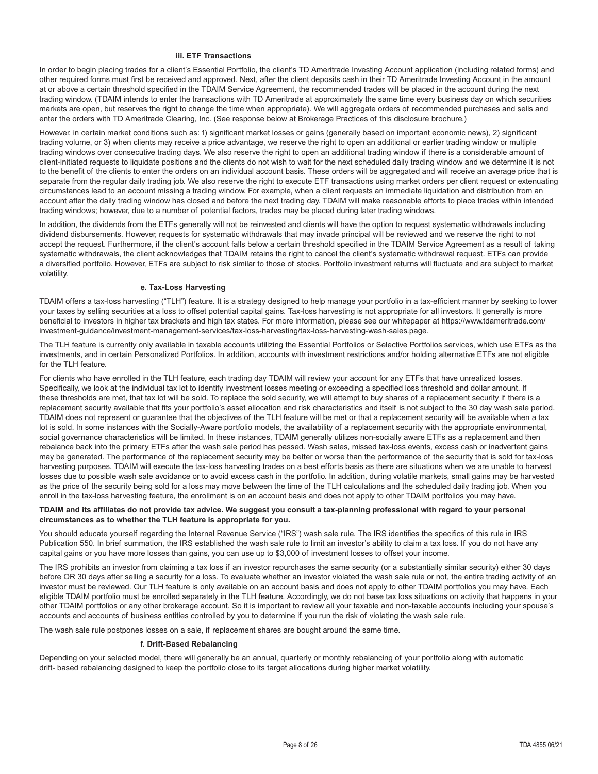#### **iii. ETF Transactions**

In order to begin placing trades for a client's Essential Portfolio, the client's TD Ameritrade Investing Account application (including related forms) and other required forms must first be received and approved. Next, after the client deposits cash in their TD Ameritrade Investing Account in the amount at or above a certain threshold specified in the TDAIM Service Agreement, the recommended trades will be placed in the account during the next trading window. (TDAIM intends to enter the transactions with TD Ameritrade at approximately the same time every business day on which securities markets are open, but reserves the right to change the time when appropriate). We will aggregate orders of recommended purchases and sells and enter the orders with TD Ameritrade Clearing, Inc. (See response below at Brokerage Practices of this disclosure brochure.)

However, in certain market conditions such as: 1) significant market losses or gains (generally based on important economic news), 2) significant trading volume, or 3) when clients may receive a price advantage, we reserve the right to open an additional or earlier trading window or multiple trading windows over consecutive trading days. We also reserve the right to open an additional trading window if there is a considerable amount of client-initiated requests to liquidate positions and the clients do not wish to wait for the next scheduled daily trading window and we determine it is not to the benefit of the clients to enter the orders on an individual account basis. These orders will be aggregated and will receive an average price that is separate from the regular daily trading job. We also reserve the right to execute ETF transactions using market orders per client request or extenuating circumstances lead to an account missing a trading window. For example, when a client requests an immediate liquidation and distribution from an account after the daily trading window has closed and before the next trading day. TDAIM will make reasonable efforts to place trades within intended trading windows; however, due to a number of potential factors, trades may be placed during later trading windows.

In addition, the dividends from the ETFs generally will not be reinvested and clients will have the option to request systematic withdrawals including dividend disbursements. However, requests for systematic withdrawals that may invade principal will be reviewed and we reserve the right to not accept the request. Furthermore, if the client's account falls below a certain threshold specified in the TDAIM Service Agreement as a result of taking systematic withdrawals, the client acknowledges that TDAIM retains the right to cancel the client's systematic withdrawal request. ETFs can provide a diversified portfolio. However, ETFs are subject to risk similar to those of stocks. Portfolio investment returns will fluctuate and are subject to market volatility.

#### **e. Tax-Loss Harvesting**

TDAIM offers a tax-loss harvesting ("TLH") feature. It is a strategy designed to help manage your portfolio in a tax-efficient manner by seeking to lower your taxes by selling securities at a loss to offset potential capital gains. Tax-loss harvesting is not appropriate for all investors. It generally is more beneficial to investors in higher tax brackets and high tax states. For more information, please see our whitepaper at https://www.tdameritrade.com/ investment-guidance/investment-management-services/tax-loss-harvesting/tax-loss-harvesting-wash-sales.page.

The TLH feature is currently only available in taxable accounts utilizing the Essential Portfolios or Selective Portfolios services, which use ETFs as the investments, and in certain Personalized Portfolios. In addition, accounts with investment restrictions and/or holding alternative ETFs are not eligible for the TLH feature.

For clients who have enrolled in the TLH feature, each trading day TDAIM will review your account for any ETFs that have unrealized losses. Specifically, we look at the individual tax lot to identify investment losses meeting or exceeding a specified loss threshold and dollar amount. If these thresholds are met, that tax lot will be sold. To replace the sold security, we will attempt to buy shares of a replacement security if there is a replacement security available that fits your portfolio's asset allocation and risk characteristics and itself is not subject to the 30 day wash sale period. TDAIM does not represent or guarantee that the objectives of the TLH feature will be met or that a replacement security will be available when a tax lot is sold. In some instances with the Socially-Aware portfolio models, the availability of a replacement security with the appropriate environmental, social governance characteristics will be limited. In these instances, TDAIM generally utilizes non-socially aware ETFs as a replacement and then rebalance back into the primary ETFs after the wash sale period has passed. Wash sales, missed tax-loss events, excess cash or inadvertent gains may be generated. The performance of the replacement security may be better or worse than the performance of the security that is sold for tax-loss harvesting purposes. TDAIM will execute the tax-loss harvesting trades on a best efforts basis as there are situations when we are unable to harvest losses due to possible wash sale avoidance or to avoid excess cash in the portfolio. In addition, during volatile markets, small gains may be harvested as the price of the security being sold for a loss may move between the time of the TLH calculations and the scheduled daily trading job. When you enroll in the tax-loss harvesting feature, the enrollment is on an account basis and does not apply to other TDAIM portfolios you may have.

#### **TDAIM and its affiliates do not provide tax advice. We suggest you consult a tax-planning professional with regard to your personal circumstances as to whether the TLH feature is appropriate for you.**

You should educate yourself regarding the Internal Revenue Service ("IRS") wash sale rule. The IRS identifies the specifics of this rule in IRS Publication 550. In brief summation, the IRS established the wash sale rule to limit an investor's ability to claim a tax loss. If you do not have any capital gains or you have more losses than gains, you can use up to \$3,000 of investment losses to offset your income.

The IRS prohibits an investor from claiming a tax loss if an investor repurchases the same security (or a substantially similar security) either 30 days before OR 30 days after selling a security for a loss. To evaluate whether an investor violated the wash sale rule or not, the entire trading activity of an investor must be reviewed. Our TLH feature is only available on an account basis and does not apply to other TDAIM portfolios you may have. Each eligible TDAIM portfolio must be enrolled separately in the TLH feature. Accordingly, we do not base tax loss situations on activity that happens in your other TDAIM portfolios or any other brokerage account. So it is important to review all your taxable and non-taxable accounts including your spouse's accounts and accounts of business entities controlled by you to determine if you run the risk of violating the wash sale rule.

The wash sale rule postpones losses on a sale, if replacement shares are bought around the same time.

#### **f. Drift-Based Rebalancing**

Depending on your selected model, there will generally be an annual, quarterly or monthly rebalancing of your portfolio along with automatic drift- based rebalancing designed to keep the portfolio close to its target allocations during higher market volatility.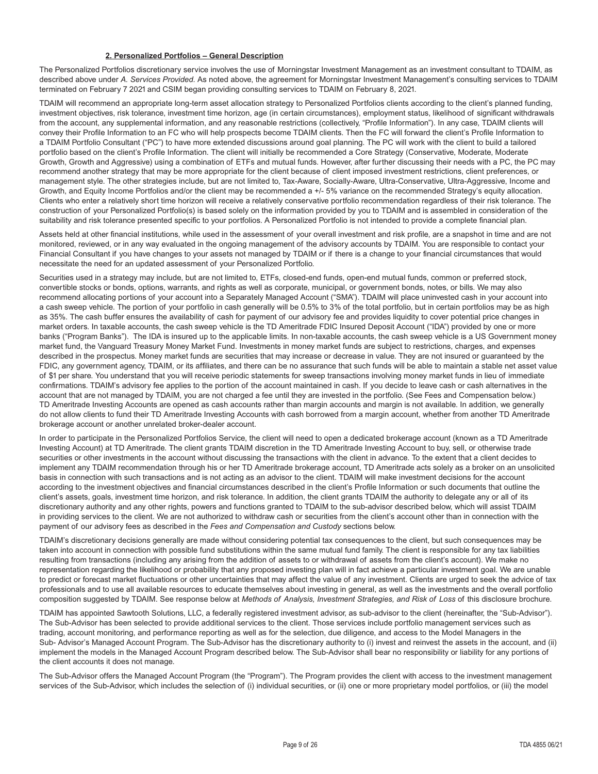#### **2. Personalized Portfolios – General Description**

The Personalized Portfolios discretionary service involves the use of Morningstar Investment Management as an investment consultant to TDAIM, as described above under *A. Services Provided.* As noted above, the agreement for Morningstar Investment Management's consulting services to TDAIM terminated on February 7 2021 and CSIM began providing consulting services to TDAIM on February 8, 2021.

TDAIM will recommend an appropriate long-term asset allocation strategy to Personalized Portfolios clients according to the client's planned funding, investment objectives, risk tolerance, investment time horizon, age (in certain circumstances), employment status, likelihood of significant withdrawals from the account, any supplemental information, and any reasonable restrictions (collectively, "Profile Information"). In any case, TDAIM clients will convey their Profile Information to an FC who will help prospects become TDAIM clients. Then the FC will forward the client's Profile Information to a TDAIM Portfolio Consultant ("PC") to have more extended discussions around goal planning. The PC will work with the client to build a tailored portfolio based on the client's Profile Information. The client will initially be recommended a Core Strategy (Conservative, Moderate, Moderate Growth, Growth and Aggressive) using a combination of ETFs and mutual funds. However, after further discussing their needs with a PC, the PC may recommend another strategy that may be more appropriate for the client because of client imposed investment restrictions, client preferences, or management style. The other strategies include, but are not limited to, Tax-Aware, Socially-Aware, Ultra-Conservative, Ultra-Aggressive, Income and Growth, and Equity Income Portfolios and/or the client may be recommended a +/- 5% variance on the recommended Strategy's equity allocation. Clients who enter a relatively short time horizon will receive a relatively conservative portfolio recommendation regardless of their risk tolerance. The construction of your Personalized Portfolio(s) is based solely on the information provided by you to TDAIM and is assembled in consideration of the suitability and risk tolerance presented specific to your portfolios. A Personalized Portfolio is not intended to provide a complete financial plan.

Assets held at other financial institutions, while used in the assessment of your overall investment and risk profile, are a snapshot in time and are not monitored, reviewed, or in any way evaluated in the ongoing management of the advisory accounts by TDAIM. You are responsible to contact your Financial Consultant if you have changes to your assets not managed by TDAIM or if there is a change to your financial circumstances that would necessitate the need for an updated assessment of your Personalized Portfolio.

Securities used in a strategy may include, but are not limited to, ETFs, closed-end funds, open-end mutual funds, common or preferred stock, convertible stocks or bonds, options, warrants, and rights as well as corporate, municipal, or government bonds, notes, or bills. We may also recommend allocating portions of your account into a Separately Managed Account ("SMA"). TDAIM will place uninvested cash in your account into a cash sweep vehicle. The portion of your portfolio in cash generally will be 0.5% to 3% of the total portfolio, but in certain portfolios may be as high as 35%. The cash buffer ensures the availability of cash for payment of our advisory fee and provides liquidity to cover potential price changes in market orders. In taxable accounts, the cash sweep vehicle is the TD Ameritrade FDIC Insured Deposit Account ("IDA") provided by one or more banks ("Program Banks"). The IDA is insured up to the applicable limits. In non-taxable accounts, the cash sweep vehicle is a US Government money market fund, the Vanguard Treasury Money Market Fund. Investments in money market funds are subject to restrictions, charges, and expenses described in the prospectus. Money market funds are securities that may increase or decrease in value. They are not insured or guaranteed by the FDIC, any government agency, TDAIM, or its affiliates, and there can be no assurance that such funds will be able to maintain a stable net asset value of \$1 per share. You understand that you will receive periodic statements for sweep transactions involving money market funds in lieu of immediate confirmations. TDAIM's advisory fee applies to the portion of the account maintained in cash. If you decide to leave cash or cash alternatives in the account that are not managed by TDAIM, you are not charged a fee until they are invested in the portfolio. (See Fees and Compensation below.) TD Ameritrade Investing Accounts are opened as cash accounts rather than margin accounts and margin is not available. In addition, we generally do not allow clients to fund their TD Ameritrade Investing Accounts with cash borrowed from a margin account, whether from another TD Ameritrade brokerage account or another unrelated broker-dealer account.

In order to participate in the Personalized Portfolios Service, the client will need to open a dedicated brokerage account (known as a TD Ameritrade Investing Account) at TD Ameritrade. The client grants TDAIM discretion in the TD Ameritrade Investing Account to buy, sell, or otherwise trade securities or other investments in the account without discussing the transactions with the client in advance. To the extent that a client decides to implement any TDAIM recommendation through his or her TD Ameritrade brokerage account, TD Ameritrade acts solely as a broker on an unsolicited basis in connection with such transactions and is not acting as an advisor to the client. TDAIM will make investment decisions for the account according to the investment objectives and financial circumstances described in the client's Profile Information or such documents that outline the client's assets, goals, investment time horizon, and risk tolerance. In addition, the client grants TDAIM the authority to delegate any or all of its discretionary authority and any other rights, powers and functions granted to TDAIM to the sub-advisor described below, which will assist TDAIM in providing services to the client. We are not authorized to withdraw cash or securities from the client's account other than in connection with the payment of our advisory fees as described in the *Fees and Compensation and Custody* sections below.

TDAIM's discretionary decisions generally are made without considering potential tax consequences to the client, but such consequences may be taken into account in connection with possible fund substitutions within the same mutual fund family. The client is responsible for any tax liabilities resulting from transactions (including any arising from the addition of assets to or withdrawal of assets from the client's account). We make no representation regarding the likelihood or probability that any proposed investing plan will in fact achieve a particular investment goal. We are unable to predict or forecast market fluctuations or other uncertainties that may affect the value of any investment. Clients are urged to seek the advice of tax professionals and to use all available resources to educate themselves about investing in general, as well as the investments and the overall portfolio composition suggested by TDAIM. See response below at *Methods of Analysis, Investment Strategies, and Risk of Loss* of this disclosure brochure.

TDAIM has appointed Sawtooth Solutions, LLC, a federally registered investment advisor, as sub-advisor to the client (hereinafter, the "Sub-Advisor"). The Sub-Advisor has been selected to provide additional services to the client. Those services include portfolio management services such as trading, account monitoring, and performance reporting as well as for the selection, due diligence, and access to the Model Managers in the Sub- Advisor's Managed Account Program. The Sub-Advisor has the discretionary authority to (i) invest and reinvest the assets in the account, and (ii) implement the models in the Managed Account Program described below. The Sub-Advisor shall bear no responsibility or liability for any portions of the client accounts it does not manage.

The Sub-Advisor offers the Managed Account Program (the "Program"). The Program provides the client with access to the investment management services of the Sub-Advisor, which includes the selection of (i) individual securities, or (ii) one or more proprietary model portfolios, or (iii) the model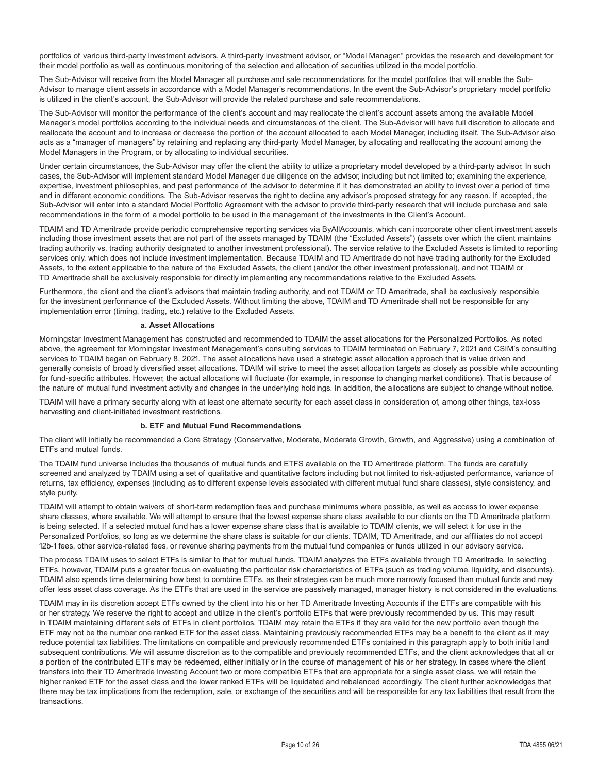portfolios of various third-party investment advisors. A third-party investment advisor, or "Model Manager," provides the research and development for their model portfolio as well as continuous monitoring of the selection and allocation of securities utilized in the model portfolio.

The Sub-Advisor will receive from the Model Manager all purchase and sale recommendations for the model portfolios that will enable the Sub-Advisor to manage client assets in accordance with a Model Manager's recommendations. In the event the Sub-Advisor's proprietary model portfolio is utilized in the client's account, the Sub-Advisor will provide the related purchase and sale recommendations.

The Sub-Advisor will monitor the performance of the client's account and may reallocate the client's account assets among the available Model Manager's model portfolios according to the individual needs and circumstances of the client. The Sub-Advisor will have full discretion to allocate and reallocate the account and to increase or decrease the portion of the account allocated to each Model Manager, including itself. The Sub-Advisor also acts as a "manager of managers" by retaining and replacing any third-party Model Manager, by allocating and reallocating the account among the Model Managers in the Program, or by allocating to individual securities.

Under certain circumstances, the Sub-Advisor may offer the client the ability to utilize a proprietary model developed by a third-party advisor. In such cases, the Sub-Advisor will implement standard Model Manager due diligence on the advisor, including but not limited to; examining the experience, expertise, investment philosophies, and past performance of the advisor to determine if it has demonstrated an ability to invest over a period of time and in different economic conditions. The Sub-Advisor reserves the right to decline any advisor's proposed strategy for any reason. If accepted, the Sub-Advisor will enter into a standard Model Portfolio Agreement with the advisor to provide third-party research that will include purchase and sale recommendations in the form of a model portfolio to be used in the management of the investments in the Client's Account.

TDAIM and TD Ameritrade provide periodic comprehensive reporting services via ByAllAccounts, which can incorporate other client investment assets including those investment assets that are not part of the assets managed by TDAIM (the "Excluded Assets") (assets over which the client maintains trading authority vs. trading authority designated to another investment professional). The service relative to the Excluded Assets is limited to reporting services only, which does not include investment implementation. Because TDAIM and TD Ameritrade do not have trading authority for the Excluded Assets, to the extent applicable to the nature of the Excluded Assets, the client (and/or the other investment professional), and not TDAIM or TD Ameritrade shall be exclusively responsible for directly implementing any recommendations relative to the Excluded Assets.

Furthermore, the client and the client's advisors that maintain trading authority, and not TDAIM or TD Ameritrade, shall be exclusively responsible for the investment performance of the Excluded Assets. Without limiting the above, TDAIM and TD Ameritrade shall not be responsible for any implementation error (timing, trading, etc.) relative to the Excluded Assets.

#### **a. Asset Allocations**

Morningstar Investment Management has constructed and recommended to TDAIM the asset allocations for the Personalized Portfolios. As noted above, the agreement for Morningstar Investment Management's consulting services to TDAIM terminated on February 7, 2021 and CSIM's consulting services to TDAIM began on February 8, 2021. The asset allocations have used a strategic asset allocation approach that is value driven and generally consists of broadly diversified asset allocations. TDAIM will strive to meet the asset allocation targets as closely as possible while accounting for fund-specific attributes. However, the actual allocations will fluctuate (for example, in response to changing market conditions). That is because of the nature of mutual fund investment activity and changes in the underlying holdings. In addition, the allocations are subject to change without notice.

TDAIM will have a primary security along with at least one alternate security for each asset class in consideration of, among other things, tax-loss harvesting and client-initiated investment restrictions.

#### **b. ETF and Mutual Fund Recommendations**

The client will initially be recommended a Core Strategy (Conservative, Moderate, Moderate Growth, Growth, and Aggressive) using a combination of ETFs and mutual funds.

The TDAIM fund universe includes the thousands of mutual funds and ETFS available on the TD Ameritrade platform. The funds are carefully screened and analyzed by TDAIM using a set of qualitative and quantitative factors including but not limited to risk-adjusted performance, variance of returns, tax efficiency, expenses (including as to different expense levels associated with different mutual fund share classes), style consistency, and style purity.

TDAIM will attempt to obtain waivers of short-term redemption fees and purchase minimums where possible, as well as access to lower expense share classes, where available. We will attempt to ensure that the lowest expense share class available to our clients on the TD Ameritrade platform is being selected. If a selected mutual fund has a lower expense share class that is available to TDAIM clients, we will select it for use in the Personalized Portfolios, so long as we determine the share class is suitable for our clients. TDAIM, TD Ameritrade, and our affiliates do not accept 12b-1 fees, other service-related fees, or revenue sharing payments from the mutual fund companies or funds utilized in our advisory service.

The process TDAIM uses to select ETFs is similar to that for mutual funds. TDAIM analyzes the ETFs available through TD Ameritrade. In selecting ETFs, however, TDAIM puts a greater focus on evaluating the particular risk characteristics of ETFs (such as trading volume, liquidity, and discounts). TDAIM also spends time determining how best to combine ETFs, as their strategies can be much more narrowly focused than mutual funds and may offer less asset class coverage. As the ETFs that are used in the service are passively managed, manager history is not considered in the evaluations.

TDAIM may in its discretion accept ETFs owned by the client into his or her TD Ameritrade Investing Accounts if the ETFs are compatible with his or her strategy. We reserve the right to accept and utilize in the client's portfolio ETFs that were previously recommended by us. This may result in TDAIM maintaining different sets of ETFs in client portfolios. TDAIM may retain the ETFs if they are valid for the new portfolio even though the ETF may not be the number one ranked ETF for the asset class. Maintaining previously recommended ETFs may be a benefit to the client as it may reduce potential tax liabilities. The limitations on compatible and previously recommended ETFs contained in this paragraph apply to both initial and subsequent contributions. We will assume discretion as to the compatible and previously recommended ETFs, and the client acknowledges that all or a portion of the contributed ETFs may be redeemed, either initially or in the course of management of his or her strategy. In cases where the client transfers into their TD Ameritrade Investing Account two or more compatible ETFs that are appropriate for a single asset class, we will retain the higher ranked ETF for the asset class and the lower ranked ETFs will be liquidated and rebalanced accordingly. The client further acknowledges that there may be tax implications from the redemption, sale, or exchange of the securities and will be responsible for any tax liabilities that result from the transactions.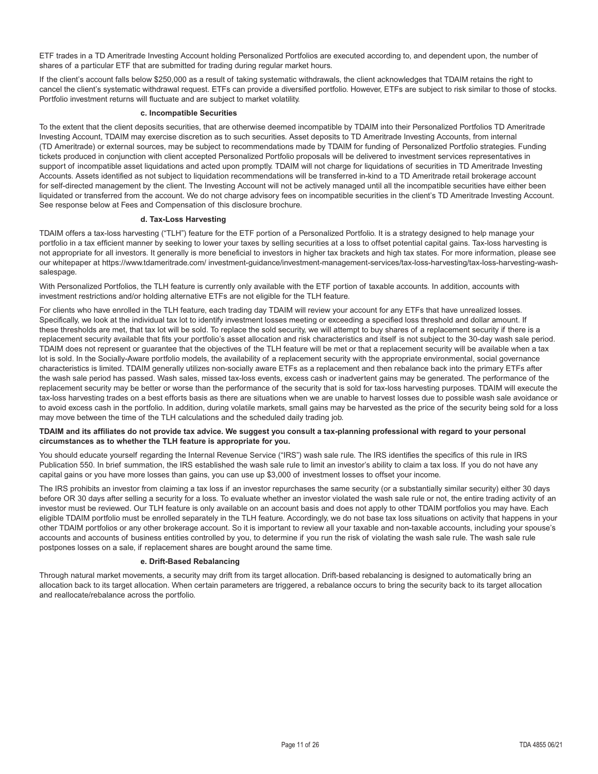ETF trades in a TD Ameritrade Investing Account holding Personalized Portfolios are executed according to, and dependent upon, the number of shares of a particular ETF that are submitted for trading during regular market hours.

If the client's account falls below \$250,000 as a result of taking systematic withdrawals, the client acknowledges that TDAIM retains the right to cancel the client's systematic withdrawal request. ETFs can provide a diversified portfolio. However, ETFs are subject to risk similar to those of stocks. Portfolio investment returns will fluctuate and are subject to market volatility.

#### **c. Incompatible Securities**

To the extent that the client deposits securities, that are otherwise deemed incompatible by TDAIM into their Personalized Portfolios TD Ameritrade Investing Account, TDAIM may exercise discretion as to such securities. Asset deposits to TD Ameritrade Investing Accounts, from internal (TD Ameritrade) or external sources, may be subject to recommendations made by TDAIM for funding of Personalized Portfolio strategies. Funding tickets produced in conjunction with client accepted Personalized Portfolio proposals will be delivered to investment services representatives in support of incompatible asset liquidations and acted upon promptly. TDAIM will not charge for liquidations of securities in TD Ameritrade Investing Accounts. Assets identified as not subject to liquidation recommendations will be transferred in-kind to a TD Ameritrade retail brokerage account for self-directed management by the client. The Investing Account will not be actively managed until all the incompatible securities have either been liquidated or transferred from the account. We do not charge advisory fees on incompatible securities in the client's TD Ameritrade Investing Account. See response below at Fees and Compensation of this disclosure brochure.

#### **d. Tax-Loss Harvesting**

TDAIM offers a tax-loss harvesting ("TLH") feature for the ETF portion of a Personalized Portfolio. It is a strategy designed to help manage your portfolio in a tax efficient manner by seeking to lower your taxes by selling securities at a loss to offset potential capital gains. Tax-loss harvesting is not appropriate for all investors. It generally is more beneficial to investors in higher tax brackets and high tax states. For more information, please see our whitepaper at https://www.tdameritrade.com/ investment-guidance/investment-management-services/tax-loss-harvesting/tax-loss-harvesting-washsalespage.

With Personalized Portfolios, the TLH feature is currently only available with the ETF portion of taxable accounts. In addition, accounts with investment restrictions and/or holding alternative ETFs are not eligible for the TLH feature.

For clients who have enrolled in the TLH feature, each trading day TDAIM will review your account for any ETFs that have unrealized losses. Specifically, we look at the individual tax lot to identify investment losses meeting or exceeding a specified loss threshold and dollar amount. If these thresholds are met, that tax lot will be sold. To replace the sold security, we will attempt to buy shares of a replacement security if there is a replacement security available that fits your portfolio's asset allocation and risk characteristics and itself is not subject to the 30-day wash sale period. TDAIM does not represent or guarantee that the objectives of the TLH feature will be met or that a replacement security will be available when a tax lot is sold. In the Socially-Aware portfolio models, the availability of a replacement security with the appropriate environmental, social governance characteristics is limited. TDAIM generally utilizes non-socially aware ETFs as a replacement and then rebalance back into the primary ETFs after the wash sale period has passed. Wash sales, missed tax-loss events, excess cash or inadvertent gains may be generated. The performance of the replacement security may be better or worse than the performance of the security that is sold for tax-loss harvesting purposes. TDAIM will execute the tax-loss harvesting trades on a best efforts basis as there are situations when we are unable to harvest losses due to possible wash sale avoidance or to avoid excess cash in the portfolio. In addition, during volatile markets, small gains may be harvested as the price of the security being sold for a loss may move between the time of the TLH calculations and the scheduled daily trading job.

#### **TDAIM and its affiliates do not provide tax advice. We suggest you consult a tax-planning professional with regard to your personal circumstances as to whether the TLH feature is appropriate for you.**

You should educate yourself regarding the Internal Revenue Service ("IRS") wash sale rule. The IRS identifies the specifics of this rule in IRS Publication 550. In brief summation, the IRS established the wash sale rule to limit an investor's ability to claim a tax loss. If you do not have any capital gains or you have more losses than gains, you can use up \$3,000 of investment losses to offset your income.

The IRS prohibits an investor from claiming a tax loss if an investor repurchases the same security (or a substantially similar security) either 30 days before OR 30 days after selling a security for a loss. To evaluate whether an investor violated the wash sale rule or not, the entire trading activity of an investor must be reviewed. Our TLH feature is only available on an account basis and does not apply to other TDAIM portfolios you may have. Each eligible TDAIM portfolio must be enrolled separately in the TLH feature. Accordingly, we do not base tax loss situations on activity that happens in your other TDAIM portfolios or any other brokerage account. So it is important to review all your taxable and non-taxable accounts, including your spouse's accounts and accounts of business entities controlled by you, to determine if you run the risk of violating the wash sale rule. The wash sale rule postpones losses on a sale, if replacement shares are bought around the same time.

#### **e. Drift-Based Rebalancing**

Through natural market movements, a security may drift from its target allocation. Drift-based rebalancing is designed to automatically bring an allocation back to its target allocation. When certain parameters are triggered, a rebalance occurs to bring the security back to its target allocation and reallocate/rebalance across the portfolio.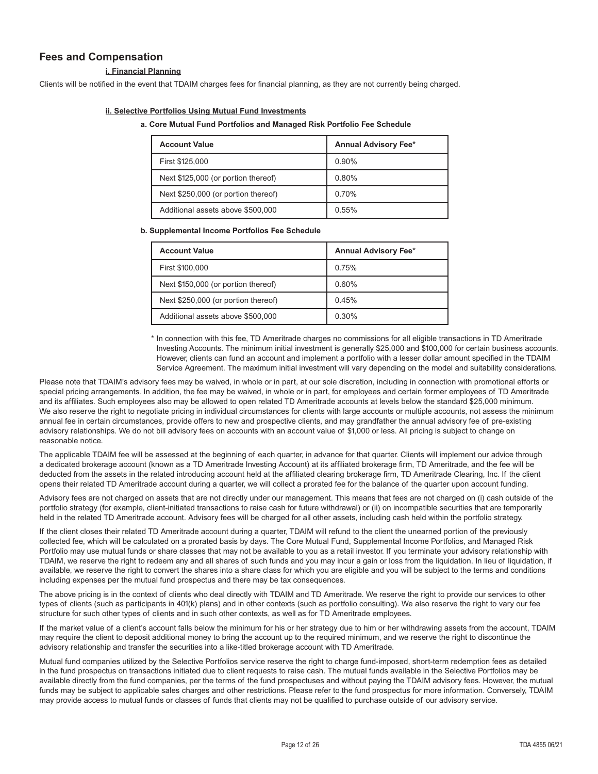# **Fees and Compensation**

#### **i. Financial Planning**

Clients will be notified in the event that TDAIM charges fees for financial planning, as they are not currently being charged.

#### **ii. Selective Portfolios Using Mutual Fund Investments**

#### **a. Core Mutual Fund Portfolios and Managed Risk Portfolio Fee Schedule**

| <b>Account Value</b>                | <b>Annual Advisory Fee*</b> |
|-------------------------------------|-----------------------------|
| First \$125,000                     | $0.90\%$                    |
| Next \$125,000 (or portion thereof) | 0.80%                       |
| Next \$250,000 (or portion thereof) | 0.70%                       |
| Additional assets above \$500,000   | 0.55%                       |

#### **b. Supplemental Income Portfolios Fee Schedule**

| <b>Account Value</b>                | <b>Annual Advisory Fee*</b> |
|-------------------------------------|-----------------------------|
| First \$100,000                     | 0.75%                       |
| Next \$150,000 (or portion thereof) | 0.60%                       |
| Next \$250,000 (or portion thereof) | 0.45%                       |
| Additional assets above \$500,000   | 0.30%                       |

\* In connection with this fee, TD Ameritrade charges no commissions for all eligible transactions in TD Ameritrade Investing Accounts. The minimum initial investment is generally \$25,000 and \$100,000 for certain business accounts. However, clients can fund an account and implement a portfolio with a lesser dollar amount specified in the TDAIM Service Agreement. The maximum initial investment will vary depending on the model and suitability considerations.

Please note that TDAIM's advisory fees may be waived, in whole or in part, at our sole discretion, including in connection with promotional efforts or special pricing arrangements. In addition, the fee may be waived, in whole or in part, for employees and certain former employees of TD Ameritrade and its affiliates. Such employees also may be allowed to open related TD Ameritrade accounts at levels below the standard \$25,000 minimum. We also reserve the right to negotiate pricing in individual circumstances for clients with large accounts or multiple accounts, not assess the minimum annual fee in certain circumstances, provide offers to new and prospective clients, and may grandfather the annual advisory fee of pre-existing advisory relationships. We do not bill advisory fees on accounts with an account value of \$1,000 or less. All pricing is subject to change on reasonable notice.

The applicable TDAIM fee will be assessed at the beginning of each quarter, in advance for that quarter. Clients will implement our advice through a dedicated brokerage account (known as a TD Ameritrade Investing Account) at its affiliated brokerage firm, TD Ameritrade, and the fee will be deducted from the assets in the related introducing account held at the affiliated clearing brokerage firm, TD Ameritrade Clearing, Inc. If the client opens their related TD Ameritrade account during a quarter, we will collect a prorated fee for the balance of the quarter upon account funding.

Advisory fees are not charged on assets that are not directly under our management. This means that fees are not charged on (i) cash outside of the portfolio strategy (for example, client-initiated transactions to raise cash for future withdrawal) or (ii) on incompatible securities that are temporarily held in the related TD Ameritrade account. Advisory fees will be charged for all other assets, including cash held within the portfolio strategy.

If the client closes their related TD Ameritrade account during a quarter, TDAIM will refund to the client the unearned portion of the previously collected fee, which will be calculated on a prorated basis by days. The Core Mutual Fund, Supplemental Income Portfolios, and Managed Risk Portfolio may use mutual funds or share classes that may not be available to you as a retail investor. If you terminate your advisory relationship with TDAIM, we reserve the right to redeem any and all shares of such funds and you may incur a gain or loss from the liquidation. In lieu of liquidation, if available, we reserve the right to convert the shares into a share class for which you are eligible and you will be subject to the terms and conditions including expenses per the mutual fund prospectus and there may be tax consequences.

The above pricing is in the context of clients who deal directly with TDAIM and TD Ameritrade. We reserve the right to provide our services to other types of clients (such as participants in 401(k) plans) and in other contexts (such as portfolio consulting). We also reserve the right to vary our fee structure for such other types of clients and in such other contexts, as well as for TD Ameritrade employees.

If the market value of a client's account falls below the minimum for his or her strategy due to him or her withdrawing assets from the account, TDAIM may require the client to deposit additional money to bring the account up to the required minimum, and we reserve the right to discontinue the advisory relationship and transfer the securities into a like-titled brokerage account with TD Ameritrade.

Mutual fund companies utilized by the Selective Portfolios service reserve the right to charge fund-imposed, short-term redemption fees as detailed in the fund prospectus on transactions initiated due to client requests to raise cash. The mutual funds available in the Selective Portfolios may be available directly from the fund companies, per the terms of the fund prospectuses and without paying the TDAIM advisory fees. However, the mutual funds may be subject to applicable sales charges and other restrictions. Please refer to the fund prospectus for more information. Conversely, TDAIM may provide access to mutual funds or classes of funds that clients may not be qualified to purchase outside of our advisory service.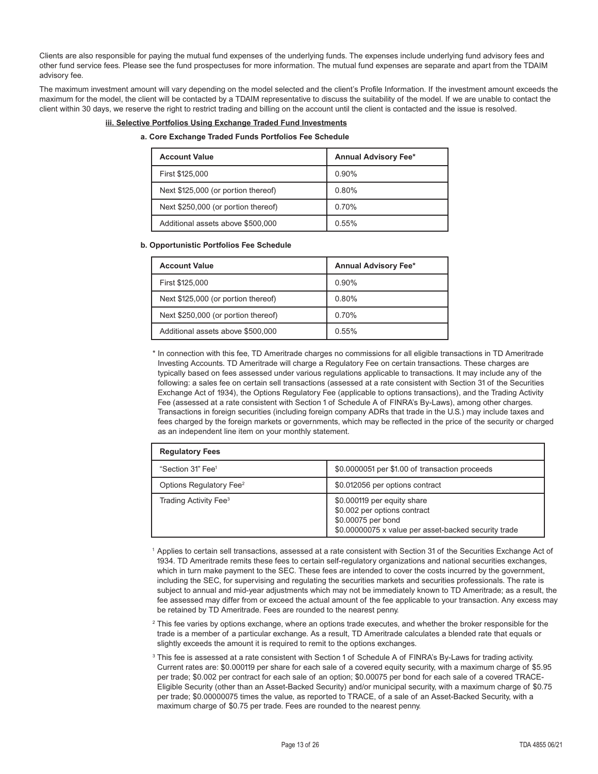Clients are also responsible for paying the mutual fund expenses of the underlying funds. The expenses include underlying fund advisory fees and other fund service fees. Please see the fund prospectuses for more information. The mutual fund expenses are separate and apart from the TDAIM advisory fee.

The maximum investment amount will vary depending on the model selected and the client's Profile Information. If the investment amount exceeds the maximum for the model, the client will be contacted by a TDAIM representative to discuss the suitability of the model. If we are unable to contact the client within 30 days, we reserve the right to restrict trading and billing on the account until the client is contacted and the issue is resolved.

#### **iii. Selective Portfolios Using Exchange Traded Fund Investments**

#### **a. Core Exchange Traded Funds Portfolios Fee Schedule**

| <b>Account Value</b>                | <b>Annual Advisory Fee*</b> |
|-------------------------------------|-----------------------------|
| First \$125,000                     | $0.90\%$                    |
| Next \$125,000 (or portion thereof) | 0.80%                       |
| Next \$250,000 (or portion thereof) | 0.70%                       |
| Additional assets above \$500,000   | 0.55%                       |

#### **b. Opportunistic Portfolios Fee Schedule**

| <b>Account Value</b>                | <b>Annual Advisory Fee*</b> |
|-------------------------------------|-----------------------------|
| First \$125,000                     | 0.90%                       |
| Next \$125,000 (or portion thereof) | 0.80%                       |
| Next \$250,000 (or portion thereof) | 0.70%                       |
| Additional assets above \$500,000   | 0.55%                       |

\* In connection with this fee, TD Ameritrade charges no commissions for all eligible transactions in TD Ameritrade Investing Accounts. TD Ameritrade will charge a Regulatory Fee on certain transactions. These charges are typically based on fees assessed under various regulations applicable to transactions. It may include any of the following: a sales fee on certain sell transactions (assessed at a rate consistent with Section 31 of the Securities Exchange Act of 1934), the Options Regulatory Fee (applicable to options transactions), and the Trading Activity Fee (assessed at a rate consistent with Section 1 of Schedule A of FINRA's By-Laws), among other charges. Transactions in foreign securities (including foreign company ADRs that trade in the U.S.) may include taxes and fees charged by the foreign markets or governments, which may be reflected in the price of the security or charged as an independent line item on your monthly statement.

| <b>Regulatory Fees</b>              |                                                                                                                                           |
|-------------------------------------|-------------------------------------------------------------------------------------------------------------------------------------------|
| "Section 31" Fee <sup>1</sup>       | \$0.0000051 per \$1.00 of transaction proceeds                                                                                            |
| Options Regulatory Fee <sup>2</sup> | \$0.012056 per options contract                                                                                                           |
| Trading Activity Fee <sup>3</sup>   | \$0.000119 per equity share<br>\$0.002 per options contract<br>\$0.00075 per bond<br>\$0.00000075 x value per asset-backed security trade |

1 Applies to certain sell transactions, assessed at a rate consistent with Section 31 of the Securities Exchange Act of 1934. TD Ameritrade remits these fees to certain self-regulatory organizations and national securities exchanges, which in turn make payment to the SEC. These fees are intended to cover the costs incurred by the government, including the SEC, for supervising and regulating the securities markets and securities professionals. The rate is subject to annual and mid-year adjustments which may not be immediately known to TD Ameritrade; as a result, the fee assessed may differ from or exceed the actual amount of the fee applicable to your transaction. Any excess may be retained by TD Ameritrade. Fees are rounded to the nearest penny.

- $^2$  This fee varies by options exchange, where an options trade executes, and whether the broker responsible for the trade is a member of a particular exchange. As a result, TD Ameritrade calculates a blended rate that equals or slightly exceeds the amount it is required to remit to the options exchanges.
- $^3$  This fee is assessed at a rate consistent with Section 1 of Schedule A of FINRA's By-Laws for trading activity. Current rates are: \$0.000119 per share for each sale of a covered equity security, with a maximum charge of \$5.95 per trade; \$0.002 per contract for each sale of an option; \$0.00075 per bond for each sale of a covered TRACE-Eligible Security (other than an Asset-Backed Security) and/or municipal security, with a maximum charge of \$0.75 per trade; \$0.00000075 times the value, as reported to TRACE, of a sale of an Asset-Backed Security, with a maximum charge of \$0.75 per trade. Fees are rounded to the nearest penny.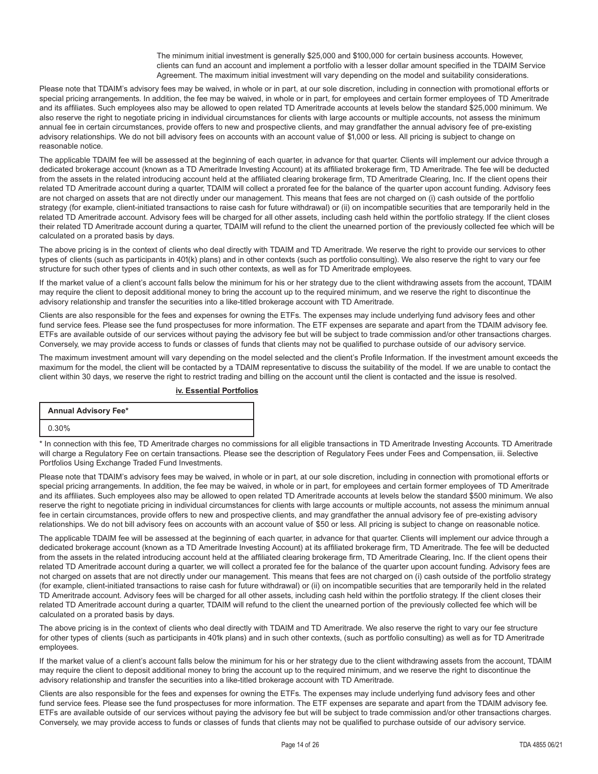The minimum initial investment is generally \$25,000 and \$100,000 for certain business accounts. However, clients can fund an account and implement a portfolio with a lesser dollar amount specified in the TDAIM Service Agreement. The maximum initial investment will vary depending on the model and suitability considerations.

Please note that TDAIM's advisory fees may be waived, in whole or in part, at our sole discretion, including in connection with promotional efforts or special pricing arrangements. In addition, the fee may be waived, in whole or in part, for employees and certain former employees of TD Ameritrade and its affiliates. Such employees also may be allowed to open related TD Ameritrade accounts at levels below the standard \$25,000 minimum. We also reserve the right to negotiate pricing in individual circumstances for clients with large accounts or multiple accounts, not assess the minimum annual fee in certain circumstances, provide offers to new and prospective clients, and may grandfather the annual advisory fee of pre-existing advisory relationships. We do not bill advisory fees on accounts with an account value of \$1,000 or less. All pricing is subject to change on reasonable notice.

The applicable TDAIM fee will be assessed at the beginning of each quarter, in advance for that quarter. Clients will implement our advice through a dedicated brokerage account (known as a TD Ameritrade Investing Account) at its affiliated brokerage firm, TD Ameritrade. The fee will be deducted from the assets in the related introducing account held at the affiliated clearing brokerage firm, TD Ameritrade Clearing, Inc. If the client opens their related TD Ameritrade account during a quarter, TDAIM will collect a prorated fee for the balance of the quarter upon account funding. Advisory fees are not charged on assets that are not directly under our management. This means that fees are not charged on (i) cash outside of the portfolio strategy (for example, client-initiated transactions to raise cash for future withdrawal) or (ii) on incompatible securities that are temporarily held in the related TD Ameritrade account. Advisory fees will be charged for all other assets, including cash held within the portfolio strategy. If the client closes their related TD Ameritrade account during a quarter, TDAIM will refund to the client the unearned portion of the previously collected fee which will be calculated on a prorated basis by days.

The above pricing is in the context of clients who deal directly with TDAIM and TD Ameritrade. We reserve the right to provide our services to other types of clients (such as participants in 401(k) plans) and in other contexts (such as portfolio consulting). We also reserve the right to vary our fee structure for such other types of clients and in such other contexts, as well as for TD Ameritrade employees.

If the market value of a client's account falls below the minimum for his or her strategy due to the client withdrawing assets from the account, TDAIM may require the client to deposit additional money to bring the account up to the required minimum, and we reserve the right to discontinue the advisory relationship and transfer the securities into a like-titled brokerage account with TD Ameritrade.

Clients are also responsible for the fees and expenses for owning the ETFs. The expenses may include underlying fund advisory fees and other fund service fees. Please see the fund prospectuses for more information. The ETF expenses are separate and apart from the TDAIM advisory fee. ETFs are available outside of our services without paying the advisory fee but will be subject to trade commission and/or other transactions charges. Conversely, we may provide access to funds or classes of funds that clients may not be qualified to purchase outside of our advisory service.

The maximum investment amount will vary depending on the model selected and the client's Profile Information. If the investment amount exceeds the maximum for the model, the client will be contacted by a TDAIM representative to discuss the suitability of the model. If we are unable to contact the client within 30 days, we reserve the right to restrict trading and billing on the account until the client is contacted and the issue is resolved.

#### **iv. Essential Portfolios**

**Annual Advisory Fee\***

0.30%

\* In connection with this fee, TD Ameritrade charges no commissions for all eligible transactions in TD Ameritrade Investing Accounts. TD Ameritrade will charge a Regulatory Fee on certain transactions. Please see the description of Regulatory Fees under Fees and Compensation, iii. Selective Portfolios Using Exchange Traded Fund Investments.

Please note that TDAIM's advisory fees may be waived, in whole or in part, at our sole discretion, including in connection with promotional efforts or special pricing arrangements. In addition, the fee may be waived, in whole or in part, for employees and certain former employees of TD Ameritrade and its affiliates. Such employees also may be allowed to open related TD Ameritrade accounts at levels below the standard \$500 minimum. We also reserve the right to negotiate pricing in individual circumstances for clients with large accounts or multiple accounts, not assess the minimum annual fee in certain circumstances, provide offers to new and prospective clients, and may grandfather the annual advisory fee of pre-existing advisory relationships. We do not bill advisory fees on accounts with an account value of \$50 or less. All pricing is subject to change on reasonable notice.

The applicable TDAIM fee will be assessed at the beginning of each quarter, in advance for that quarter. Clients will implement our advice through a dedicated brokerage account (known as a TD Ameritrade Investing Account) at its affiliated brokerage firm, TD Ameritrade. The fee will be deducted from the assets in the related introducing account held at the affiliated clearing brokerage firm, TD Ameritrade Clearing, Inc. If the client opens their related TD Ameritrade account during a quarter, we will collect a prorated fee for the balance of the quarter upon account funding. Advisory fees are not charged on assets that are not directly under our management. This means that fees are not charged on (i) cash outside of the portfolio strategy (for example, client-initiated transactions to raise cash for future withdrawal) or (ii) on incompatible securities that are temporarily held in the related TD Ameritrade account. Advisory fees will be charged for all other assets, including cash held within the portfolio strategy. If the client closes their related TD Ameritrade account during a quarter, TDAIM will refund to the client the unearned portion of the previously collected fee which will be calculated on a prorated basis by days.

The above pricing is in the context of clients who deal directly with TDAIM and TD Ameritrade. We also reserve the right to vary our fee structure for other types of clients (such as participants in 401k plans) and in such other contexts, (such as portfolio consulting) as well as for TD Ameritrade employees.

If the market value of a client's account falls below the minimum for his or her strategy due to the client withdrawing assets from the account, TDAIM may require the client to deposit additional money to bring the account up to the required minimum, and we reserve the right to discontinue the advisory relationship and transfer the securities into a like-titled brokerage account with TD Ameritrade.

Clients are also responsible for the fees and expenses for owning the ETFs. The expenses may include underlying fund advisory fees and other fund service fees. Please see the fund prospectuses for more information. The ETF expenses are separate and apart from the TDAIM advisory fee. ETFs are available outside of our services without paying the advisory fee but will be subject to trade commission and/or other transactions charges. Conversely, we may provide access to funds or classes of funds that clients may not be qualified to purchase outside of our advisory service.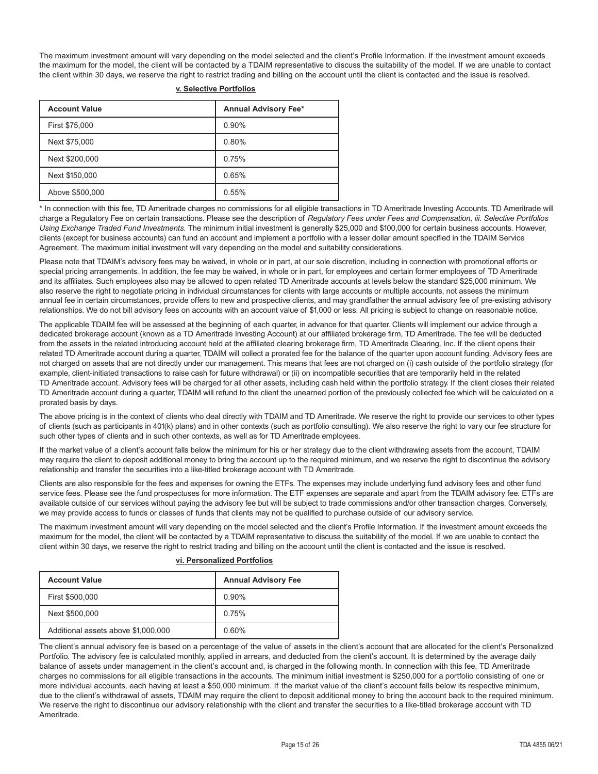The maximum investment amount will vary depending on the model selected and the client's Profile Information. If the investment amount exceeds the maximum for the model, the client will be contacted by a TDAIM representative to discuss the suitability of the model. If we are unable to contact the client within 30 days, we reserve the right to restrict trading and billing on the account until the client is contacted and the issue is resolved.

| <b>Account Value</b> | <b>Annual Advisory Fee*</b> |
|----------------------|-----------------------------|
| First \$75,000       | 0.90%                       |
| Next \$75,000        | 0.80%                       |
| Next \$200,000       | 0.75%                       |
| Next \$150,000       | 0.65%                       |
| Above \$500,000      | 0.55%                       |

#### **v. Selective Portfolios**

\* In connection with this fee, TD Ameritrade charges no commissions for all eligible transactions in TD Ameritrade Investing Accounts. TD Ameritrade will charge a Regulatory Fee on certain transactions. Please see the description of *Regulatory Fees under Fees and Compensation, iii. Selective Portfolios Using Exchange Traded Fund Investments*. The minimum initial investment is generally \$25,000 and \$100,000 for certain business accounts. However, clients (except for business accounts) can fund an account and implement a portfolio with a lesser dollar amount specified in the TDAIM Service Agreement. The maximum initial investment will vary depending on the model and suitability considerations.

Please note that TDAIM's advisory fees may be waived, in whole or in part, at our sole discretion, including in connection with promotional efforts or special pricing arrangements. In addition, the fee may be waived, in whole or in part, for employees and certain former employees of TD Ameritrade and its affiliates. Such employees also may be allowed to open related TD Ameritrade accounts at levels below the standard \$25,000 minimum. We also reserve the right to negotiate pricing in individual circumstances for clients with large accounts or multiple accounts, not assess the minimum annual fee in certain circumstances, provide offers to new and prospective clients, and may grandfather the annual advisory fee of pre-existing advisory relationships. We do not bill advisory fees on accounts with an account value of \$1,000 or less. All pricing is subject to change on reasonable notice.

The applicable TDAIM fee will be assessed at the beginning of each quarter, in advance for that quarter. Clients will implement our advice through a dedicated brokerage account (known as a TD Ameritrade Investing Account) at our affiliated brokerage firm, TD Ameritrade. The fee will be deducted from the assets in the related introducing account held at the affiliated clearing brokerage firm, TD Ameritrade Clearing, Inc. If the client opens their related TD Ameritrade account during a quarter, TDAIM will collect a prorated fee for the balance of the quarter upon account funding. Advisory fees are not charged on assets that are not directly under our management. This means that fees are not charged on (i) cash outside of the portfolio strategy (for example, client-initiated transactions to raise cash for future withdrawal) or (ii) on incompatible securities that are temporarily held in the related TD Ameritrade account. Advisory fees will be charged for all other assets, including cash held within the portfolio strategy. If the client closes their related TD Ameritrade account during a quarter, TDAIM will refund to the client the unearned portion of the previously collected fee which will be calculated on a prorated basis by days.

The above pricing is in the context of clients who deal directly with TDAIM and TD Ameritrade. We reserve the right to provide our services to other types of clients (such as participants in 401(k) plans) and in other contexts (such as portfolio consulting). We also reserve the right to vary our fee structure for such other types of clients and in such other contexts, as well as for TD Ameritrade employees.

If the market value of a client's account falls below the minimum for his or her strategy due to the client withdrawing assets from the account, TDAIM may require the client to deposit additional money to bring the account up to the required minimum, and we reserve the right to discontinue the advisory relationship and transfer the securities into a like-titled brokerage account with TD Ameritrade.

Clients are also responsible for the fees and expenses for owning the ETFs. The expenses may include underlying fund advisory fees and other fund service fees. Please see the fund prospectuses for more information. The ETF expenses are separate and apart from the TDAIM advisory fee. ETFs are available outside of our services without paying the advisory fee but will be subject to trade commissions and/or other transaction charges. Conversely, we may provide access to funds or classes of funds that clients may not be qualified to purchase outside of our advisory service.

The maximum investment amount will vary depending on the model selected and the client's Profile Information. If the investment amount exceeds the maximum for the model, the client will be contacted by a TDAIM representative to discuss the suitability of the model. If we are unable to contact the client within 30 days, we reserve the right to restrict trading and billing on the account until the client is contacted and the issue is resolved.

| <b>Account Value</b>                | <b>Annual Advisory Fee</b> |
|-------------------------------------|----------------------------|
| First \$500,000                     | 0.90%                      |
| Next \$500,000                      | 0.75%                      |
| Additional assets above \$1,000,000 | 0.60%                      |

#### **vi. Personalized Portfolios**

The client's annual advisory fee is based on a percentage of the value of assets in the client's account that are allocated for the client's Personalized Portfolio. The advisory fee is calculated monthly, applied in arrears, and deducted from the client's account. It is determined by the average daily balance of assets under management in the client's account and, is charged in the following month. In connection with this fee, TD Ameritrade charges no commissions for all eligible transactions in the accounts. The minimum initial investment is \$250,000 for a portfolio consisting of one or more individual accounts, each having at least a \$50,000 minimum. If the market value of the client's account falls below its respective minimum, due to the client's withdrawal of assets, TDAIM may require the client to deposit additional money to bring the account back to the required minimum. We reserve the right to discontinue our advisory relationship with the client and transfer the securities to a like-titled brokerage account with TD Ameritrade.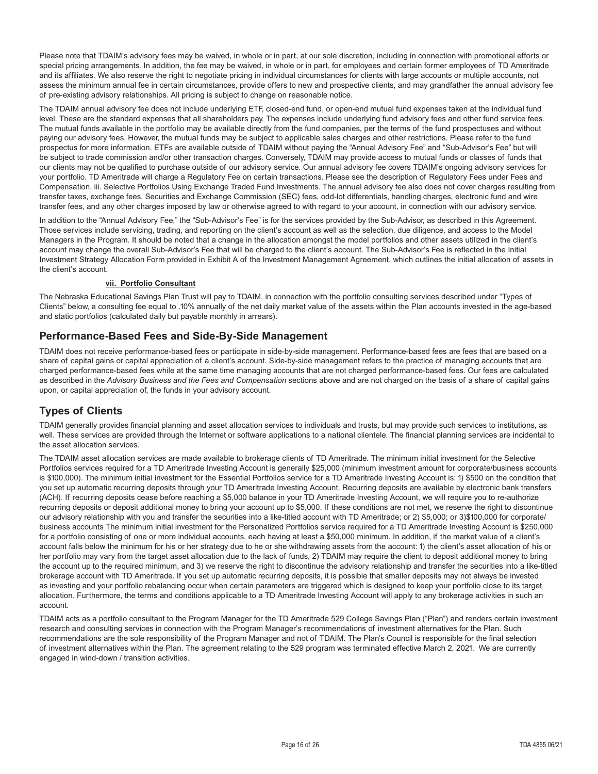Please note that TDAIM's advisory fees may be waived, in whole or in part, at our sole discretion, including in connection with promotional efforts or special pricing arrangements. In addition, the fee may be waived, in whole or in part, for employees and certain former employees of TD Ameritrade and its affiliates. We also reserve the right to negotiate pricing in individual circumstances for clients with large accounts or multiple accounts, not assess the minimum annual fee in certain circumstances, provide offers to new and prospective clients, and may grandfather the annual advisory fee of pre-existing advisory relationships. All pricing is subject to change on reasonable notice.

The TDAIM annual advisory fee does not include underlying ETF, closed-end fund, or open-end mutual fund expenses taken at the individual fund level. These are the standard expenses that all shareholders pay. The expenses include underlying fund advisory fees and other fund service fees. The mutual funds available in the portfolio may be available directly from the fund companies, per the terms of the fund prospectuses and without paying our advisory fees. However, the mutual funds may be subject to applicable sales charges and other restrictions. Please refer to the fund prospectus for more information. ETFs are available outside of TDAIM without paying the "Annual Advisory Fee" and "Sub-Advisor's Fee" but will be subject to trade commission and/or other transaction charges. Conversely, TDAIM may provide access to mutual funds or classes of funds that our clients may not be qualified to purchase outside of our advisory service. Our annual advisory fee covers TDAIM's ongoing advisory services for your portfolio. TD Ameritrade will charge a Regulatory Fee on certain transactions. Please see the description of Regulatory Fees under Fees and Compensation, iii. Selective Portfolios Using Exchange Traded Fund Investments. The annual advisory fee also does not cover charges resulting from transfer taxes, exchange fees, Securities and Exchange Commission (SEC) fees, odd-lot differentials, handling charges, electronic fund and wire transfer fees, and any other charges imposed by law or otherwise agreed to with regard to your account, in connection with our advisory service.

In addition to the "Annual Advisory Fee," the "Sub-Advisor's Fee" is for the services provided by the Sub-Advisor, as described in this Agreement. Those services include servicing, trading, and reporting on the client's account as well as the selection, due diligence, and access to the Model Managers in the Program. It should be noted that a change in the allocation amongst the model portfolios and other assets utilized in the client's account may change the overall Sub-Advisor's Fee that will be charged to the client's account. The Sub-Advisor's Fee is reflected in the Initial Investment Strategy Allocation Form provided in Exhibit A of the Investment Management Agreement, which outlines the initial allocation of assets in the client's account.

#### **vii. Portfolio Consultant**

The Nebraska Educational Savings Plan Trust will pay to TDAIM, in connection with the portfolio consulting services described under "Types of Clients" below, a consulting fee equal to .10% annually of the net daily market value of the assets within the Plan accounts invested in the age-based and static portfolios (calculated daily but payable monthly in arrears).

# **Performance-Based Fees and Side-By-Side Management**

TDAIM does not receive performance-based fees or participate in side-by-side management. Performance-based fees are fees that are based on a share of capital gains or capital appreciation of a client's account. Side-by-side management refers to the practice of managing accounts that are charged performance-based fees while at the same time managing accounts that are not charged performance-based fees. Our fees are calculated as described in the *Advisory Business and the Fees and Compensation* sections above and are not charged on the basis of a share of capital gains upon, or capital appreciation of, the funds in your advisory account.

# **Types of Clients**

TDAIM generally provides financial planning and asset allocation services to individuals and trusts, but may provide such services to institutions, as well. These services are provided through the Internet or software applications to a national clientele. The financial planning services are incidental to the asset allocation services.

The TDAIM asset allocation services are made available to brokerage clients of TD Ameritrade. The minimum initial investment for the Selective Portfolios services required for a TD Ameritrade Investing Account is generally \$25,000 (minimum investment amount for corporate/business accounts is \$100,000). The minimum initial investment for the Essential Portfolios service for a TD Ameritrade Investing Account is: 1) \$500 on the condition that you set up automatic recurring deposits through your TD Ameritrade Investing Account. Recurring deposits are available by electronic bank transfers (ACH). If recurring deposits cease before reaching a \$5,000 balance in your TD Ameritrade Investing Account, we will require you to re-authorize recurring deposits or deposit additional money to bring your account up to \$5,000. If these conditions are not met, we reserve the right to discontinue our advisory relationship with you and transfer the securities into a like-titled account with TD Ameritrade; or 2) \$5,000; or 3)\$100,000 for corporate/ business accounts The minimum initial investment for the Personalized Portfolios service required for a TD Ameritrade Investing Account is \$250,000 for a portfolio consisting of one or more individual accounts, each having at least a \$50,000 minimum. In addition, if the market value of a client's account falls below the minimum for his or her strategy due to he or she withdrawing assets from the account: 1) the client's asset allocation of his or her portfolio may vary from the target asset allocation due to the lack of funds, 2) TDAIM may require the client to deposit additional money to bring the account up to the required minimum, and 3) we reserve the right to discontinue the advisory relationship and transfer the securities into a like-titled brokerage account with TD Ameritrade. If you set up automatic recurring deposits, it is possible that smaller deposits may not always be invested as investing and your portfolio rebalancing occur when certain parameters are triggered which is designed to keep your portfolio close to its target allocation. Furthermore, the terms and conditions applicable to a TD Ameritrade Investing Account will apply to any brokerage activities in such an account.

TDAIM acts as a portfolio consultant to the Program Manager for the TD Ameritrade 529 College Savings Plan ("Plan") and renders certain investment research and consulting services in connection with the Program Manager's recommendations of investment alternatives for the Plan. Such recommendations are the sole responsibility of the Program Manager and not of TDAIM. The Plan's Council is responsible for the final selection of investment alternatives within the Plan. The agreement relating to the 529 program was terminated effective March 2, 2021. We are currently engaged in wind-down / transition activities.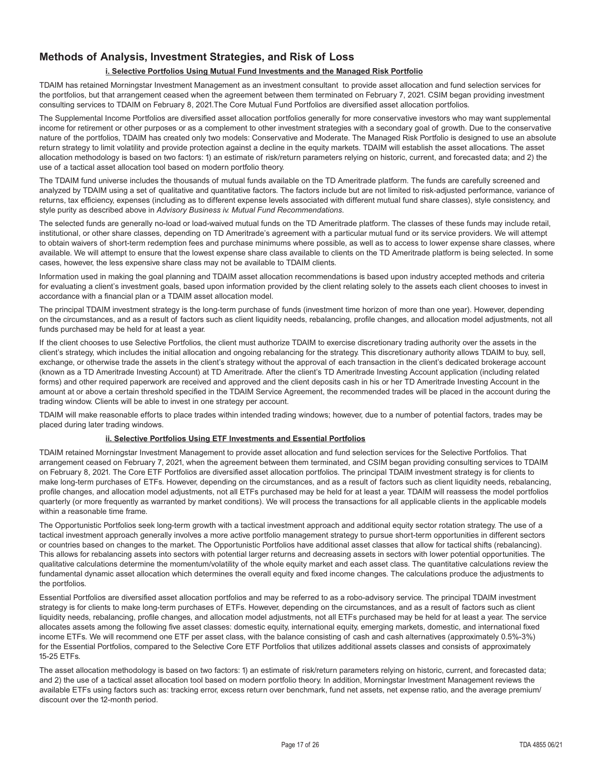# **Methods of Analysis, Investment Strategies, and Risk of Loss**

#### **i. Selective Portfolios Using Mutual Fund Investments and the Managed Risk Portfolio**

TDAIM has retained Morningstar Investment Management as an investment consultant to provide asset allocation and fund selection services for the portfolios, but that arrangement ceased when the agreement between them terminated on February 7, 2021. CSIM began providing investment consulting services to TDAIM on February 8, 2021.The Core Mutual Fund Portfolios are diversified asset allocation portfolios.

The Supplemental Income Portfolios are diversified asset allocation portfolios generally for more conservative investors who may want supplemental income for retirement or other purposes or as a complement to other investment strategies with a secondary goal of growth. Due to the conservative nature of the portfolios, TDAIM has created only two models: Conservative and Moderate. The Managed Risk Portfolio is designed to use an absolute return strategy to limit volatility and provide protection against a decline in the equity markets. TDAIM will establish the asset allocations. The asset allocation methodology is based on two factors: 1) an estimate of risk/return parameters relying on historic, current, and forecasted data; and 2) the use of a tactical asset allocation tool based on modern portfolio theory.

The TDAIM fund universe includes the thousands of mutual funds available on the TD Ameritrade platform. The funds are carefully screened and analyzed by TDAIM using a set of qualitative and quantitative factors. The factors include but are not limited to risk-adjusted performance, variance of returns, tax efficiency, expenses (including as to different expense levels associated with different mutual fund share classes), style consistency, and style purity as described above in *Advisory Business iv. Mutual Fund Recommendations*.

The selected funds are generally no-load or load-waived mutual funds on the TD Ameritrade platform. The classes of these funds may include retail, institutional, or other share classes, depending on TD Ameritrade's agreement with a particular mutual fund or its service providers. We will attempt to obtain waivers of short-term redemption fees and purchase minimums where possible, as well as to access to lower expense share classes, where available. We will attempt to ensure that the lowest expense share class available to clients on the TD Ameritrade platform is being selected. In some cases, however, the less expensive share class may not be available to TDAIM clients.

Information used in making the goal planning and TDAIM asset allocation recommendations is based upon industry accepted methods and criteria for evaluating a client's investment goals, based upon information provided by the client relating solely to the assets each client chooses to invest in accordance with a financial plan or a TDAIM asset allocation model.

The principal TDAIM investment strategy is the long-term purchase of funds (investment time horizon of more than one year). However, depending on the circumstances, and as a result of factors such as client liquidity needs, rebalancing, profile changes, and allocation model adjustments, not all funds purchased may be held for at least a year.

If the client chooses to use Selective Portfolios, the client must authorize TDAIM to exercise discretionary trading authority over the assets in the client's strategy, which includes the initial allocation and ongoing rebalancing for the strategy. This discretionary authority allows TDAIM to buy, sell, exchange, or otherwise trade the assets in the client's strategy without the approval of each transaction in the client's dedicated brokerage account (known as a TD Ameritrade Investing Account) at TD Ameritrade. After the client's TD Ameritrade Investing Account application (including related forms) and other required paperwork are received and approved and the client deposits cash in his or her TD Ameritrade Investing Account in the amount at or above a certain threshold specified in the TDAIM Service Agreement, the recommended trades will be placed in the account during the trading window. Clients will be able to invest in one strategy per account.

TDAIM will make reasonable efforts to place trades within intended trading windows; however, due to a number of potential factors, trades may be placed during later trading windows.

#### **ii. Selective Portfolios Using ETF Investments and Essential Portfolios**

TDAIM retained Morningstar Investment Management to provide asset allocation and fund selection services for the Selective Portfolios. That arrangement ceased on February 7, 2021, when the agreement between them terminated, and CSIM began providing consulting services to TDAIM on February 8, 2021. The Core ETF Portfolios are diversified asset allocation portfolios. The principal TDAIM investment strategy is for clients to make long-term purchases of ETFs. However, depending on the circumstances, and as a result of factors such as client liquidity needs, rebalancing, profile changes, and allocation model adjustments, not all ETFs purchased may be held for at least a year. TDAIM will reassess the model portfolios quarterly (or more frequently as warranted by market conditions). We will process the transactions for all applicable clients in the applicable models within a reasonable time frame.

The Opportunistic Portfolios seek long-term growth with a tactical investment approach and additional equity sector rotation strategy. The use of a tactical investment approach generally involves a more active portfolio management strategy to pursue short-term opportunities in different sectors or countries based on changes to the market. The Opportunistic Portfolios have additional asset classes that allow for tactical shifts (rebalancing). This allows for rebalancing assets into sectors with potential larger returns and decreasing assets in sectors with lower potential opportunities. The qualitative calculations determine the momentum/volatility of the whole equity market and each asset class. The quantitative calculations review the fundamental dynamic asset allocation which determines the overall equity and fixed income changes. The calculations produce the adjustments to the portfolios.

Essential Portfolios are diversified asset allocation portfolios and may be referred to as a robo-advisory service. The principal TDAIM investment strategy is for clients to make long-term purchases of ETFs. However, depending on the circumstances, and as a result of factors such as client liquidity needs, rebalancing, profile changes, and allocation model adjustments, not all ETFs purchased may be held for at least a year. The service allocates assets among the following five asset classes: domestic equity, international equity, emerging markets, domestic, and international fixed income ETFs. We will recommend one ETF per asset class, with the balance consisting of cash and cash alternatives (approximately 0.5%-3%) for the Essential Portfolios, compared to the Selective Core ETF Portfolios that utilizes additional assets classes and consists of approximately 15-25 ETFs.

The asset allocation methodology is based on two factors: 1) an estimate of risk/return parameters relying on historic, current, and forecasted data; and 2) the use of a tactical asset allocation tool based on modern portfolio theory. In addition, Morningstar Investment Management reviews the available ETFs using factors such as: tracking error, excess return over benchmark, fund net assets, net expense ratio, and the average premium/ discount over the 12-month period.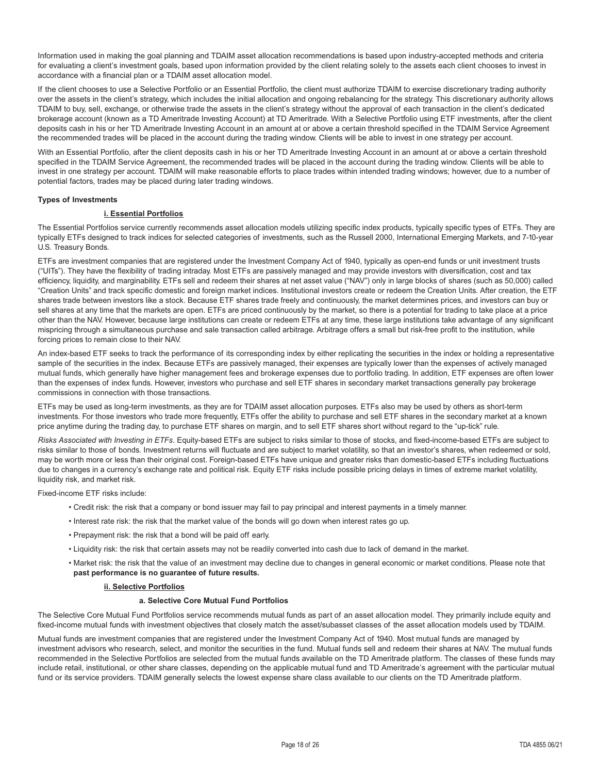Information used in making the goal planning and TDAIM asset allocation recommendations is based upon industry-accepted methods and criteria for evaluating a client's investment goals, based upon information provided by the client relating solely to the assets each client chooses to invest in accordance with a financial plan or a TDAIM asset allocation model.

If the client chooses to use a Selective Portfolio or an Essential Portfolio, the client must authorize TDAIM to exercise discretionary trading authority over the assets in the client's strategy, which includes the initial allocation and ongoing rebalancing for the strategy. This discretionary authority allows TDAIM to buy, sell, exchange, or otherwise trade the assets in the client's strategy without the approval of each transaction in the client's dedicated brokerage account (known as a TD Ameritrade Investing Account) at TD Ameritrade. With a Selective Portfolio using ETF investments, after the client deposits cash in his or her TD Ameritrade Investing Account in an amount at or above a certain threshold specified in the TDAIM Service Agreement the recommended trades will be placed in the account during the trading window. Clients will be able to invest in one strategy per account.

With an Essential Portfolio, after the client deposits cash in his or her TD Ameritrade Investing Account in an amount at or above a certain threshold specified in the TDAIM Service Agreement, the recommended trades will be placed in the account during the trading window. Clients will be able to invest in one strategy per account. TDAIM will make reasonable efforts to place trades within intended trading windows; however, due to a number of potential factors, trades may be placed during later trading windows.

#### **Types of Investments**

#### **i. Essential Portfolios**

The Essential Portfolios service currently recommends asset allocation models utilizing specific index products, typically specific types of ETFs. They are typically ETFs designed to track indices for selected categories of investments, such as the Russell 2000, International Emerging Markets, and 7-10-year U.S. Treasury Bonds.

ETFs are investment companies that are registered under the Investment Company Act of 1940, typically as open-end funds or unit investment trusts ("UITs"). They have the flexibility of trading intraday. Most ETFs are passively managed and may provide investors with diversification, cost and tax efficiency, liquidity, and marginability. ETFs sell and redeem their shares at net asset value ("NAV") only in large blocks of shares (such as 50,000) called "Creation Units" and track specific domestic and foreign market indices. Institutional investors create or redeem the Creation Units. After creation, the ETF shares trade between investors like a stock. Because ETF shares trade freely and continuously, the market determines prices, and investors can buy or sell shares at any time that the markets are open. ETFs are priced continuously by the market, so there is a potential for trading to take place at a price other than the NAV. However, because large institutions can create or redeem ETFs at any time, these large institutions take advantage of any significant mispricing through a simultaneous purchase and sale transaction called arbitrage. Arbitrage offers a small but risk-free profit to the institution, while forcing prices to remain close to their NAV.

An index-based ETF seeks to track the performance of its corresponding index by either replicating the securities in the index or holding a representative sample of the securities in the index. Because ETFs are passively managed, their expenses are typically lower than the expenses of actively managed mutual funds, which generally have higher management fees and brokerage expenses due to portfolio trading. In addition, ETF expenses are often lower than the expenses of index funds. However, investors who purchase and sell ETF shares in secondary market transactions generally pay brokerage commissions in connection with those transactions.

ETFs may be used as long-term investments, as they are for TDAIM asset allocation purposes. ETFs also may be used by others as short-term investments. For those investors who trade more frequently, ETFs offer the ability to purchase and sell ETF shares in the secondary market at a known price anytime during the trading day, to purchase ETF shares on margin, and to sell ETF shares short without regard to the "up-tick" rule.

*Risks Associated with Investing in ETFs*. Equity-based ETFs are subject to risks similar to those of stocks, and fixed-income-based ETFs are subject to risks similar to those of bonds. Investment returns will fluctuate and are subject to market volatility, so that an investor's shares, when redeemed or sold, may be worth more or less than their original cost. Foreign-based ETFs have unique and greater risks than domestic-based ETFs including fluctuations due to changes in a currency's exchange rate and political risk. Equity ETF risks include possible pricing delays in times of extreme market volatility, liquidity risk, and market risk.

Fixed-income ETF risks include:

- Credit risk: the risk that a company or bond issuer may fail to pay principal and interest payments in a timely manner.
- Interest rate risk: the risk that the market value of the bonds will go down when interest rates go up.
- Prepayment risk: the risk that a bond will be paid off early.
- Liquidity risk: the risk that certain assets may not be readily converted into cash due to lack of demand in the market.
- Market risk: the risk that the value of an investment may decline due to changes in general economic or market conditions. Please note that **past performance is no guarantee of future results.**

#### **ii. Selective Portfolios**

#### **a. Selective Core Mutual Fund Portfolios**

The Selective Core Mutual Fund Portfolios service recommends mutual funds as part of an asset allocation model. They primarily include equity and fixed-income mutual funds with investment objectives that closely match the asset/subasset classes of the asset allocation models used by TDAIM.

Mutual funds are investment companies that are registered under the Investment Company Act of 1940. Most mutual funds are managed by investment advisors who research, select, and monitor the securities in the fund. Mutual funds sell and redeem their shares at NAV. The mutual funds recommended in the Selective Portfolios are selected from the mutual funds available on the TD Ameritrade platform. The classes of these funds may include retail, institutional, or other share classes, depending on the applicable mutual fund and TD Ameritrade's agreement with the particular mutual fund or its service providers. TDAIM generally selects the lowest expense share class available to our clients on the TD Ameritrade platform.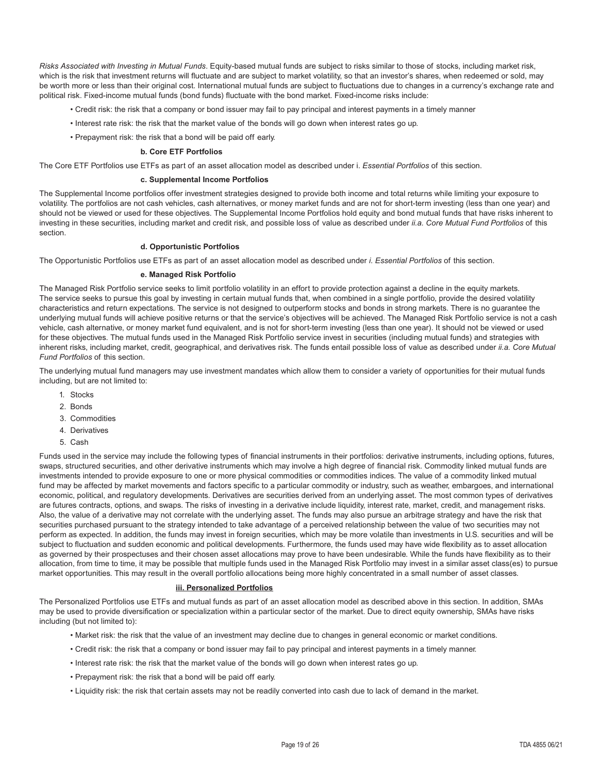*Risks Associated with Investing in Mutual Funds*. Equity-based mutual funds are subject to risks similar to those of stocks, including market risk, which is the risk that investment returns will fluctuate and are subject to market volatility, so that an investor's shares, when redeemed or sold, may be worth more or less than their original cost. International mutual funds are subject to fluctuations due to changes in a currency's exchange rate and political risk. Fixed-income mutual funds (bond funds) fluctuate with the bond market. Fixed-income risks include:

- Credit risk: the risk that a company or bond issuer may fail to pay principal and interest payments in a timely manner
- Interest rate risk: the risk that the market value of the bonds will go down when interest rates go up.
- Prepayment risk: the risk that a bond will be paid off early.

#### **b. Core ETF Portfolios**

The Core ETF Portfolios use ETFs as part of an asset allocation model as described under i. *Essential Portfolios* of this section.

#### **c. Supplemental Income Portfolios**

The Supplemental Income portfolios offer investment strategies designed to provide both income and total returns while limiting your exposure to volatility. The portfolios are not cash vehicles, cash alternatives, or money market funds and are not for short-term investing (less than one year) and should not be viewed or used for these objectives. The Supplemental Income Portfolios hold equity and bond mutual funds that have risks inherent to investing in these securities, including market and credit risk, and possible loss of value as described under *ii.a. Core Mutual Fund Portfolios* of this section.

#### **d. Opportunistic Portfolios**

The Opportunistic Portfolios use ETFs as part of an asset allocation model as described under *i. Essential Portfolios* of this section.

#### **e. Managed Risk Portfolio**

The Managed Risk Portfolio service seeks to limit portfolio volatility in an effort to provide protection against a decline in the equity markets. The service seeks to pursue this goal by investing in certain mutual funds that, when combined in a single portfolio, provide the desired volatility characteristics and return expectations. The service is not designed to outperform stocks and bonds in strong markets. There is no guarantee the underlying mutual funds will achieve positive returns or that the service's objectives will be achieved. The Managed Risk Portfolio service is not a cash vehicle, cash alternative, or money market fund equivalent, and is not for short-term investing (less than one year). It should not be viewed or used for these objectives. The mutual funds used in the Managed Risk Portfolio service invest in securities (including mutual funds) and strategies with inherent risks, including market, credit, geographical, and derivatives risk. The funds entail possible loss of value as described under *ii.a. Core Mutual Fund Portfolios* of this section.

The underlying mutual fund managers may use investment mandates which allow them to consider a variety of opportunities for their mutual funds including, but are not limited to:

- 1. Stocks
- 2. Bonds
- 3. Commodities
- 4. Derivatives
- 5. Cash

Funds used in the service may include the following types of financial instruments in their portfolios: derivative instruments, including options, futures, swaps, structured securities, and other derivative instruments which may involve a high degree of financial risk. Commodity linked mutual funds are investments intended to provide exposure to one or more physical commodities or commodities indices. The value of a commodity linked mutual fund may be affected by market movements and factors specific to a particular commodity or industry, such as weather, embargoes, and international economic, political, and regulatory developments. Derivatives are securities derived from an underlying asset. The most common types of derivatives are futures contracts, options, and swaps. The risks of investing in a derivative include liquidity, interest rate, market, credit, and management risks. Also, the value of a derivative may not correlate with the underlying asset. The funds may also pursue an arbitrage strategy and have the risk that securities purchased pursuant to the strategy intended to take advantage of a perceived relationship between the value of two securities may not perform as expected. In addition, the funds may invest in foreign securities, which may be more volatile than investments in U.S. securities and will be subject to fluctuation and sudden economic and political developments. Furthermore, the funds used may have wide flexibility as to asset allocation as governed by their prospectuses and their chosen asset allocations may prove to have been undesirable. While the funds have flexibility as to their allocation, from time to time, it may be possible that multiple funds used in the Managed Risk Portfolio may invest in a similar asset class(es) to pursue market opportunities. This may result in the overall portfolio allocations being more highly concentrated in a small number of asset classes.

#### **iii. Personalized Portfolios**

The Personalized Portfolios use ETFs and mutual funds as part of an asset allocation model as described above in this section. In addition, SMAs may be used to provide diversification or specialization within a particular sector of the market. Due to direct equity ownership, SMAs have risks including (but not limited to):

- Market risk: the risk that the value of an investment may decline due to changes in general economic or market conditions.
- Credit risk: the risk that a company or bond issuer may fail to pay principal and interest payments in a timely manner.
- Interest rate risk: the risk that the market value of the bonds will go down when interest rates go up.
- Prepayment risk: the risk that a bond will be paid off early.
- Liquidity risk: the risk that certain assets may not be readily converted into cash due to lack of demand in the market.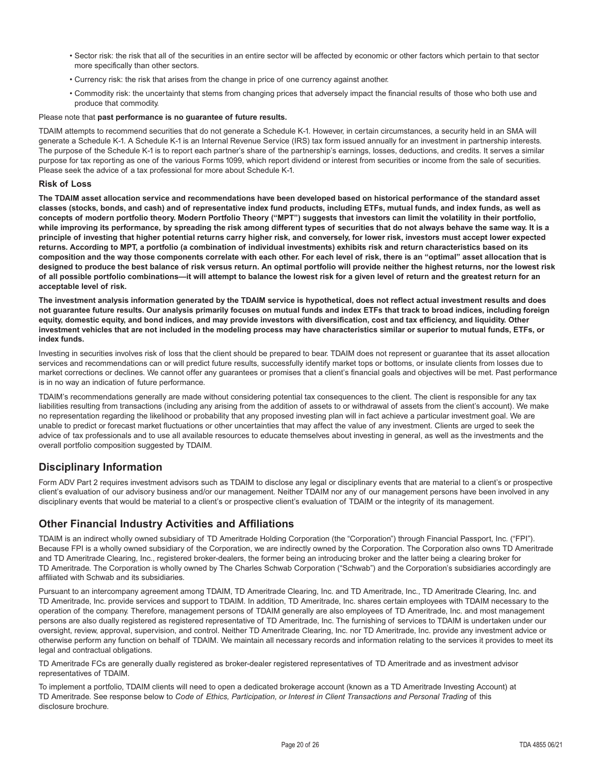- Sector risk: the risk that all of the securities in an entire sector will be affected by economic or other factors which pertain to that sector more specifically than other sectors.
- Currency risk: the risk that arises from the change in price of one currency against another.
- Commodity risk: the uncertainty that stems from changing prices that adversely impact the financial results of those who both use and produce that commodity.

#### Please note that **past performance is no guarantee of future results.**

TDAIM attempts to recommend securities that do not generate a Schedule K-1. However, in certain circumstances, a security held in an SMA will generate a Schedule K-1. A Schedule K-1 is an Internal Revenue Service (IRS) tax form issued annually for an investment in partnership interests. The purpose of the Schedule K-1 is to report each partner's share of the partnership's earnings, losses, deductions, and credits. It serves a similar purpose for tax reporting as one of the various Forms 1099, which report dividend or interest from securities or income from the sale of securities. Please seek the advice of a tax professional for more about Schedule K-1.

#### **Risk of Loss**

**The TDAIM asset allocation service and recommendations have been developed based on historical performance of the standard asset classes (stocks, bonds, and cash) and of representative index fund products, including ETFs, mutual funds, and index funds, as well as concepts of modern portfolio theory. Modern Portfolio Theory ("MPT") suggests that investors can limit the volatility in their portfolio, while improving its performance, by spreading the risk among different types of securities that do not always behave the same way. It is a principle of investing that higher potential returns carry higher risk, and conversely, for lower risk, investors must accept lower expected returns. According to MPT, a portfolio (a combination of individual investments) exhibits risk and return characteristics based on its composition and the way those components correlate with each other. For each level of risk, there is an "optimal" asset allocation that is designed to produce the best balance of risk versus return. An optimal portfolio will provide neither the highest returns, nor the lowest risk of all possible portfolio combinations—it will attempt to balance the lowest risk for a given level of return and the greatest return for an acceptable level of risk.**

**The investment analysis information generated by the TDAIM service is hypothetical, does not reflect actual investment results and does not guarantee future results. Our analysis primarily focuses on mutual funds and index ETFs that track to broad indices, including foreign equity, domestic equity, and bond indices, and may provide investors with diversification, cost and tax efficiency, and liquidity. Other investment vehicles that are not included in the modeling process may have characteristics similar or superior to mutual funds, ETFs, or index funds.**

Investing in securities involves risk of loss that the client should be prepared to bear. TDAIM does not represent or guarantee that its asset allocation services and recommendations can or will predict future results, successfully identify market tops or bottoms, or insulate clients from losses due to market corrections or declines. We cannot offer any guarantees or promises that a client's financial goals and objectives will be met. Past performance is in no way an indication of future performance.

TDAIM's recommendations generally are made without considering potential tax consequences to the client. The client is responsible for any tax liabilities resulting from transactions (including any arising from the addition of assets to or withdrawal of assets from the client's account). We make no representation regarding the likelihood or probability that any proposed investing plan will in fact achieve a particular investment goal. We are unable to predict or forecast market fluctuations or other uncertainties that may affect the value of any investment. Clients are urged to seek the advice of tax professionals and to use all available resources to educate themselves about investing in general, as well as the investments and the overall portfolio composition suggested by TDAIM.

# **Disciplinary Information**

Form ADV Part 2 requires investment advisors such as TDAIM to disclose any legal or disciplinary events that are material to a client's or prospective client's evaluation of our advisory business and/or our management. Neither TDAIM nor any of our management persons have been involved in any disciplinary events that would be material to a client's or prospective client's evaluation of TDAIM or the integrity of its management.

# **Other Financial Industry Activities and Affiliations**

TDAIM is an indirect wholly owned subsidiary of TD Ameritrade Holding Corporation (the "Corporation") through Financial Passport, Inc. ("FPI"). Because FPI is a wholly owned subsidiary of the Corporation, we are indirectly owned by the Corporation. The Corporation also owns TD Ameritrade and TD Ameritrade Clearing, Inc., registered broker-dealers, the former being an introducing broker and the latter being a clearing broker for TD Ameritrade. The Corporation is wholly owned by The Charles Schwab Corporation ("Schwab") and the Corporation's subsidiaries accordingly are affiliated with Schwab and its subsidiaries.

Pursuant to an intercompany agreement among TDAIM, TD Ameritrade Clearing, Inc. and TD Ameritrade, Inc., TD Ameritrade Clearing, Inc. and TD Ameritrade, Inc. provide services and support to TDAIM. In addition, TD Ameritrade, Inc. shares certain employees with TDAIM necessary to the operation of the company. Therefore, management persons of TDAIM generally are also employees of TD Ameritrade, Inc. and most management persons are also dually registered as registered representative of TD Ameritrade, Inc. The furnishing of services to TDAIM is undertaken under our oversight, review, approval, supervision, and control. Neither TD Ameritrade Clearing, Inc. nor TD Ameritrade, Inc. provide any investment advice or otherwise perform any function on behalf of TDAIM. We maintain all necessary records and information relating to the services it provides to meet its legal and contractual obligations.

TD Ameritrade FCs are generally dually registered as broker-dealer registered representatives of TD Ameritrade and as investment advisor representatives of TDAIM.

To implement a portfolio, TDAIM clients will need to open a dedicated brokerage account (known as a TD Ameritrade Investing Account) at TD Ameritrade. See response below to *Code of Ethics, Participation, or Interest in Client Transactions and Personal Trading* of this disclosure brochure.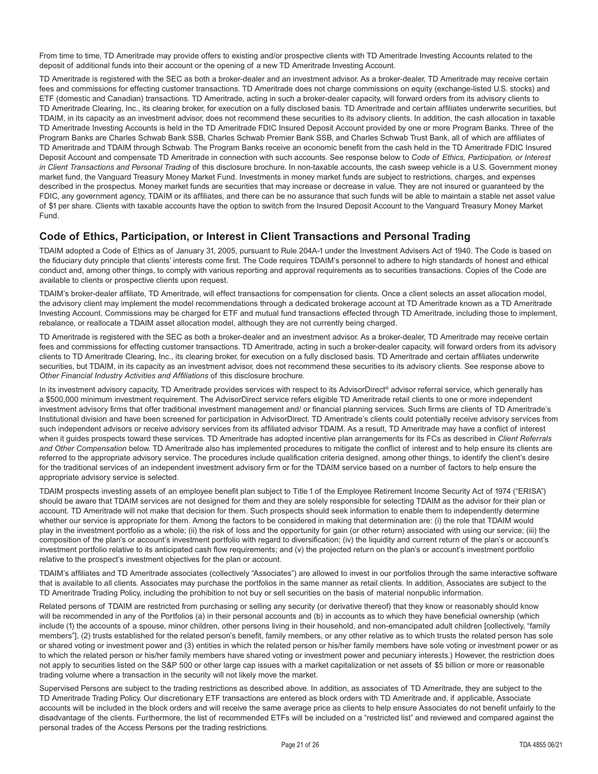From time to time, TD Ameritrade may provide offers to existing and/or prospective clients with TD Ameritrade Investing Accounts related to the deposit of additional funds into their account or the opening of a new TD Ameritrade Investing Account.

TD Ameritrade is registered with the SEC as both a broker-dealer and an investment advisor. As a broker-dealer, TD Ameritrade may receive certain fees and commissions for effecting customer transactions. TD Ameritrade does not charge commissions on equity (exchange-listed U.S. stocks) and ETF (domestic and Canadian) transactions. TD Ameritrade, acting in such a broker-dealer capacity, will forward orders from its advisory clients to TD Ameritrade Clearing, Inc., its clearing broker, for execution on a fully disclosed basis. TD Ameritrade and certain affiliates underwrite securities, but TDAIM, in its capacity as an investment advisor, does not recommend these securities to its advisory clients. In addition, the cash allocation in taxable TD Ameritrade Investing Accounts is held in the TD Ameritrade FDIC Insured Deposit Account provided by one or more Program Banks. Three of the Program Banks are Charles Schwab Bank SSB, Charles Schwab Premier Bank SSB, and Charles Schwab Trust Bank, all of which are affiliates of TD Ameritrade and TDAIM through Schwab. The Program Banks receive an economic benefit from the cash held in the TD Ameritrade FDIC Insured Deposit Account and compensate TD Ameritrade in connection with such accounts. See response below to *Code of Ethics, Participation, or Interest in Client Transactions and Personal Trading* of this disclosure brochure. In non-taxable accounts, the cash sweep vehicle is a U.S. Government money market fund, the Vanguard Treasury Money Market Fund. Investments in money market funds are subject to restrictions, charges, and expenses described in the prospectus. Money market funds are securities that may increase or decrease in value. They are not insured or quaranteed by the FDIC, any government agency, TDAIM or its affiliates, and there can be no assurance that such funds will be able to maintain a stable net asset value of \$1 per share. Clients with taxable accounts have the option to switch from the Insured Deposit Account to the Vanguard Treasury Money Market Fund.

# **Code of Ethics, Participation, or Interest in Client Transactions and Personal Trading**

TDAIM adopted a Code of Ethics as of January 31, 2005, pursuant to Rule 204A-1 under the Investment Advisers Act of 1940. The Code is based on the fiduciary duty principle that clients' interests come first. The Code requires TDAIM's personnel to adhere to high standards of honest and ethical conduct and, among other things, to comply with various reporting and approval requirements as to securities transactions. Copies of the Code are available to clients or prospective clients upon request.

TDAIM's broker-dealer affiliate, TD Ameritrade, will effect transactions for compensation for clients. Once a client selects an asset allocation model, the advisory client may implement the model recommendations through a dedicated brokerage account at TD Ameritrade known as a TD Ameritrade Investing Account. Commissions may be charged for ETF and mutual fund transactions effected through TD Ameritrade, including those to implement, rebalance, or reallocate a TDAIM asset allocation model, although they are not currently being charged.

TD Ameritrade is registered with the SEC as both a broker-dealer and an investment advisor. As a broker-dealer, TD Ameritrade may receive certain fees and commissions for effecting customer transactions. TD Ameritrade, acting in such a broker-dealer capacity, will forward orders from its advisory clients to TD Ameritrade Clearing, Inc., its clearing broker, for execution on a fully disclosed basis. TD Ameritrade and certain affiliates underwrite securities, but TDAIM, in its capacity as an investment advisor, does not recommend these securities to its advisory clients. See response above to *Other Financial Industry Activities and Affiliations* of this disclosure brochure.

In its investment advisory capacity, TD Ameritrade provides services with respect to its AdvisorDirect® advisor referral service, which generally has a \$500,000 minimum investment requirement. The AdvisorDirect service refers eligible TD Ameritrade retail clients to one or more independent investment advisory firms that offer traditional investment management and/ or financial planning services. Such firms are clients of TD Ameritrade's Institutional division and have been screened for participation in AdvisorDirect. TD Ameritrade's clients could potentially receive advisory services from such independent advisors or receive advisory services from its affiliated advisor TDAIM. As a result, TD Ameritrade may have a conflict of interest when it guides prospects toward these services. TD Ameritrade has adopted incentive plan arrangements for its FCs as described in *Client Referrals and Other Compensation* below. TD Ameritrade also has implemented procedures to mitigate the conflict of interest and to help ensure its clients are referred to the appropriate advisory service. The procedures include qualification criteria designed, among other things, to identify the client's desire for the traditional services of an independent investment advisory firm or for the TDAIM service based on a number of factors to help ensure the appropriate advisory service is selected.

TDAIM prospects investing assets of an employee benefit plan subject to Title 1 of the Employee Retirement Income Security Act of 1974 ("ERISA") should be aware that TDAIM services are not designed for them and they are solely responsible for selecting TDAIM as the advisor for their plan or account. TD Ameritrade will not make that decision for them. Such prospects should seek information to enable them to independently determine whether our service is appropriate for them. Among the factors to be considered in making that determination are: (i) the role that TDAIM would play in the investment portfolio as a whole; (ii) the risk of loss and the opportunity for gain (or other return) associated with using our service; (iii) the composition of the plan's or account's investment portfolio with regard to diversification; (iv) the liquidity and current return of the plan's or account's investment portfolio relative to its anticipated cash flow requirements; and (v) the projected return on the plan's or account's investment portfolio relative to the prospect's investment objectives for the plan or account.

TDAIM's affiliates and TD Ameritrade associates (collectively "Associates") are allowed to invest in our portfolios through the same interactive software that is available to all clients. Associates may purchase the portfolios in the same manner as retail clients. In addition, Associates are subject to the TD Ameritrade Trading Policy, including the prohibition to not buy or sell securities on the basis of material nonpublic information.

Related persons of TDAIM are restricted from purchasing or selling any security (or derivative thereof) that they know or reasonably should know will be recommended in any of the Portfolios (a) in their personal accounts and (b) in accounts as to which they have beneficial ownership (which include (1) the accounts of a spouse, minor children, other persons living in their household, and non-emancipated adult children [collectively, "family members"], (2) trusts established for the related person's benefit, family members, or any other relative as to which trusts the related person has sole or shared voting or investment power and (3) entities in which the related person or his/her family members have sole voting or investment power or as to which the related person or his/her family members have shared voting or investment power and pecuniary interests.) However, the restriction does not apply to securities listed on the S&P 500 or other large cap issues with a market capitalization or net assets of \$5 billion or more or reasonable trading volume where a transaction in the security will not likely move the market.

Supervised Persons are subject to the trading restrictions as described above. In addition, as associates of TD Ameritrade, they are subject to the TD Ameritrade Trading Policy. Our discretionary ETF transactions are entered as block orders with TD Ameritrade and, if applicable, Associate accounts will be included in the block orders and will receive the same average price as clients to help ensure Associates do not benefit unfairly to the disadvantage of the clients. Furthermore, the list of recommended ETFs will be included on a "restricted list" and reviewed and compared against the personal trades of the Access Persons per the trading restrictions.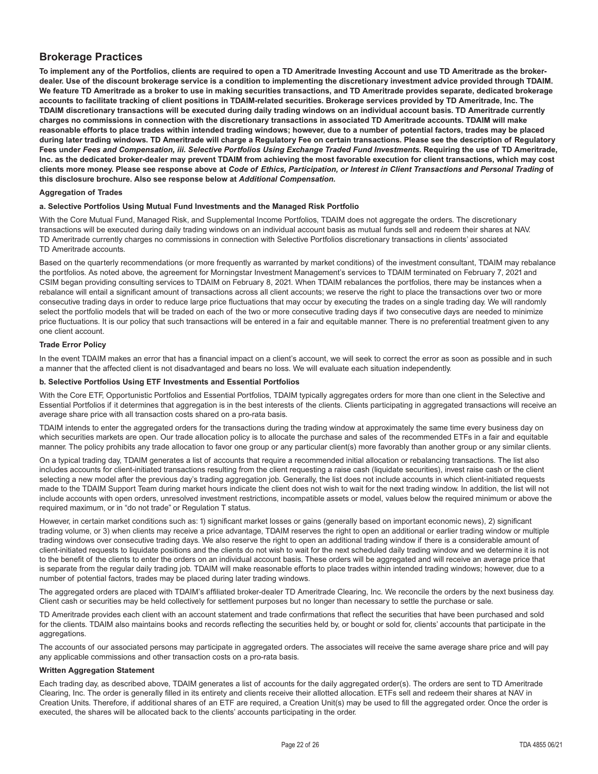# **Brokerage Practices**

**To implement any of the Portfolios, clients are required to open a TD Ameritrade Investing Account and use TD Ameritrade as the brokerdealer. Use of the discount brokerage service is a condition to implementing the discretionary investment advice provided through TDAIM. We feature TD Ameritrade as a broker to use in making securities transactions, and TD Ameritrade provides separate, dedicated brokerage accounts to facilitate tracking of client positions in TDAIM-related securities. Brokerage services provided by TD Ameritrade, Inc. The TDAIM discretionary transactions will be executed during daily trading windows on an individual account basis. TD Ameritrade currently charges no commissions in connection with the discretionary transactions in associated TD Ameritrade accounts. TDAIM will make reasonable efforts to place trades within intended trading windows; however, due to a number of potential factors, trades may be placed during later trading windows. TD Ameritrade will charge a Regulatory Fee on certain transactions. Please see the description of Regulatory Fees under** *Fees and Compensation, iii. Selective Portfolios Using Exchange Traded Fund Investments.* **Requiring the use of TD Ameritrade, Inc. as the dedicated broker-dealer may prevent TDAIM from achieving the most favorable execution for client transactions, which may cost clients more money. Please see response above at** *Code of Ethics, Participation, or Interest in Client Transactions and Personal Trading* **of this disclosure brochure. Also see response below at** *Additional Compensation.*

#### **Aggregation of Trades**

#### **a. Selective Portfolios Using Mutual Fund Investments and the Managed Risk Portfolio**

With the Core Mutual Fund, Managed Risk, and Supplemental Income Portfolios, TDAIM does not aggregate the orders. The discretionary transactions will be executed during daily trading windows on an individual account basis as mutual funds sell and redeem their shares at NAV. TD Ameritrade currently charges no commissions in connection with Selective Portfolios discretionary transactions in clients' associated TD Ameritrade accounts.

Based on the quarterly recommendations (or more frequently as warranted by market conditions) of the investment consultant, TDAIM may rebalance the portfolios. As noted above, the agreement for Morningstar Investment Management's services to TDAIM terminated on February 7, 2021 and CSIM began providing consulting services to TDAIM on February 8, 2021. When TDAIM rebalances the portfolios, there may be instances when a rebalance will entail a significant amount of transactions across all client accounts; we reserve the right to place the transactions over two or more consecutive trading days in order to reduce large price fluctuations that may occur by executing the trades on a single trading day. We will randomly select the portfolio models that will be traded on each of the two or more consecutive trading days if two consecutive days are needed to minimize price fluctuations. It is our policy that such transactions will be entered in a fair and equitable manner. There is no preferential treatment given to any one client account.

#### **Trade Error Policy**

In the event TDAIM makes an error that has a financial impact on a client's account, we will seek to correct the error as soon as possible and in such a manner that the affected client is not disadvantaged and bears no loss. We will evaluate each situation independently.

#### **b. Selective Portfolios Using ETF Investments and Essential Portfolios**

With the Core ETF, Opportunistic Portfolios and Essential Portfolios, TDAIM typically aggregates orders for more than one client in the Selective and Essential Portfolios if it determines that aggregation is in the best interests of the clients. Clients participating in aggregated transactions will receive an average share price with all transaction costs shared on a pro-rata basis.

TDAIM intends to enter the aggregated orders for the transactions during the trading window at approximately the same time every business day on which securities markets are open. Our trade allocation policy is to allocate the purchase and sales of the recommended ETFs in a fair and equitable manner. The policy prohibits any trade allocation to favor one group or any particular client(s) more favorably than another group or any similar clients.

On a typical trading day, TDAIM generates a list of accounts that require a recommended initial allocation or rebalancing transactions. The list also includes accounts for client-initiated transactions resulting from the client requesting a raise cash (liquidate securities), invest raise cash or the client selecting a new model after the previous day's trading aggregation job. Generally, the list does not include accounts in which client-initiated requests made to the TDAIM Support Team during market hours indicate the client does not wish to wait for the next trading window. In addition, the list will not include accounts with open orders, unresolved investment restrictions, incompatible assets or model, values below the required minimum or above the required maximum, or in "do not trade" or Regulation T status.

However, in certain market conditions such as: 1) significant market losses or gains (generally based on important economic news), 2) significant trading volume, or 3) when clients may receive a price advantage, TDAIM reserves the right to open an additional or earlier trading window or multiple trading windows over consecutive trading days. We also reserve the right to open an additional trading window if there is a considerable amount of client-initiated requests to liquidate positions and the clients do not wish to wait for the next scheduled daily trading window and we determine it is not to the benefit of the clients to enter the orders on an individual account basis. These orders will be aggregated and will receive an average price that is separate from the regular daily trading job. TDAIM will make reasonable efforts to place trades within intended trading windows; however, due to a number of potential factors, trades may be placed during later trading windows.

The aggregated orders are placed with TDAIM's affiliated broker-dealer TD Ameritrade Clearing, Inc. We reconcile the orders by the next business day. Client cash or securities may be held collectively for settlement purposes but no longer than necessary to settle the purchase or sale.

TD Ameritrade provides each client with an account statement and trade confirmations that reflect the securities that have been purchased and sold for the clients. TDAIM also maintains books and records reflecting the securities held by, or bought or sold for, clients' accounts that participate in the aggregations.

The accounts of our associated persons may participate in aggregated orders. The associates will receive the same average share price and will pay any applicable commissions and other transaction costs on a pro-rata basis.

#### **Written Aggregation Statement**

Each trading day, as described above, TDAIM generates a list of accounts for the daily aggregated order(s). The orders are sent to TD Ameritrade Clearing, Inc. The order is generally filled in its entirety and clients receive their allotted allocation. ETFs sell and redeem their shares at NAV in Creation Units. Therefore, if additional shares of an ETF are required, a Creation Unit(s) may be used to fill the aggregated order. Once the order is executed, the shares will be allocated back to the clients' accounts participating in the order.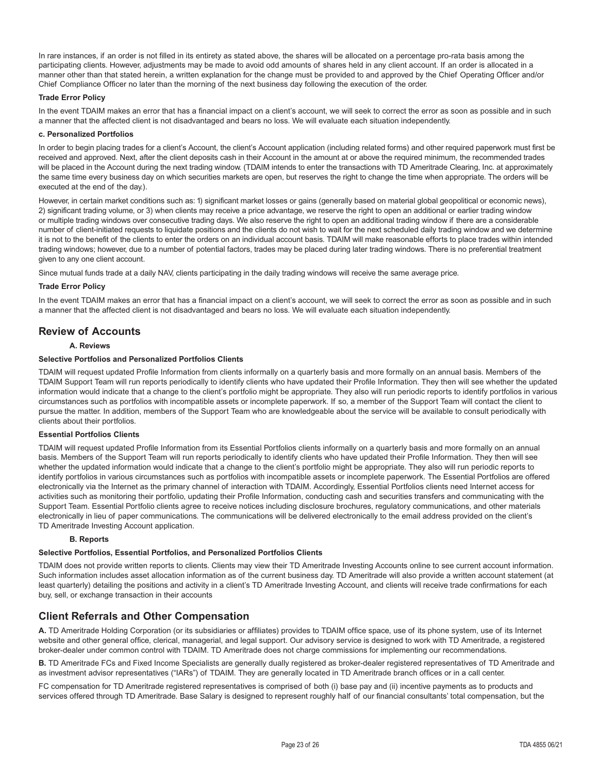In rare instances, if an order is not filled in its entirety as stated above, the shares will be allocated on a percentage pro-rata basis among the participating clients. However, adjustments may be made to avoid odd amounts of shares held in any client account. If an order is allocated in a manner other than that stated herein, a written explanation for the change must be provided to and approved by the Chief Operating Officer and/or Chief Compliance Officer no later than the morning of the next business day following the execution of the order.

#### **Trade Error Policy**

In the event TDAIM makes an error that has a financial impact on a client's account, we will seek to correct the error as soon as possible and in such a manner that the affected client is not disadvantaged and bears no loss. We will evaluate each situation independently.

#### **c. Personalized Portfolios**

In order to begin placing trades for a client's Account, the client's Account application (including related forms) and other required paperwork must first be received and approved. Next, after the client deposits cash in their Account in the amount at or above the required minimum, the recommended trades will be placed in the Account during the next trading window. (TDAIM intends to enter the transactions with TD Ameritrade Clearing, Inc. at approximately the same time every business day on which securities markets are open, but reserves the right to change the time when appropriate. The orders will be executed at the end of the day.).

However, in certain market conditions such as: 1) significant market losses or gains (generally based on material global geopolitical or economic news), 2) significant trading volume, or 3) when clients may receive a price advantage, we reserve the right to open an additional or earlier trading window or multiple trading windows over consecutive trading days. We also reserve the right to open an additional trading window if there are a considerable number of client-initiated requests to liquidate positions and the clients do not wish to wait for the next scheduled daily trading window and we determine it is not to the benefit of the clients to enter the orders on an individual account basis. TDAIM will make reasonable efforts to place trades within intended trading windows; however, due to a number of potential factors, trades may be placed during later trading windows. There is no preferential treatment given to any one client account.

Since mutual funds trade at a daily NAV, clients participating in the daily trading windows will receive the same average price.

#### **Trade Error Policy**

In the event TDAIM makes an error that has a financial impact on a client's account, we will seek to correct the error as soon as possible and in such a manner that the affected client is not disadvantaged and bears no loss. We will evaluate each situation independently.

# **Review of Accounts**

#### **A. Reviews**

#### **Selective Portfolios and Personalized Portfolios Clients**

TDAIM will request updated Profile Information from clients informally on a quarterly basis and more formally on an annual basis. Members of the TDAIM Support Team will run reports periodically to identify clients who have updated their Profile Information. They then will see whether the updated information would indicate that a change to the client's portfolio might be appropriate. They also will run periodic reports to identify portfolios in various circumstances such as portfolios with incompatible assets or incomplete paperwork. If so, a member of the Support Team will contact the client to pursue the matter. In addition, members of the Support Team who are knowledgeable about the service will be available to consult periodically with clients about their portfolios.

#### **Essential Portfolios Clients**

TDAIM will request updated Profile Information from its Essential Portfolios clients informally on a quarterly basis and more formally on an annual basis. Members of the Support Team will run reports periodically to identify clients who have updated their Profile Information. They then will see whether the updated information would indicate that a change to the client's portfolio might be appropriate. They also will run periodic reports to identify portfolios in various circumstances such as portfolios with incompatible assets or incomplete paperwork. The Essential Portfolios are offered electronically via the Internet as the primary channel of interaction with TDAIM. Accordingly, Essential Portfolios clients need Internet access for activities such as monitoring their portfolio, updating their Profile Information, conducting cash and securities transfers and communicating with the Support Team. Essential Portfolio clients agree to receive notices including disclosure brochures, regulatory communications, and other materials electronically in lieu of paper communications. The communications will be delivered electronically to the email address provided on the client's TD Ameritrade Investing Account application.

#### **B. Reports**

#### **Selective Portfolios, Essential Portfolios, and Personalized Portfolios Clients**

TDAIM does not provide written reports to clients. Clients may view their TD Ameritrade Investing Accounts online to see current account information. Such information includes asset allocation information as of the current business day. TD Ameritrade will also provide a written account statement (at least quarterly) detailing the positions and activity in a client's TD Ameritrade Investing Account, and clients will receive trade confirmations for each buy, sell, or exchange transaction in their accounts

# **Client Referrals and Other Compensation**

**A.** TD Ameritrade Holding Corporation (or its subsidiaries or affiliates) provides to TDAIM office space, use of its phone system, use of its Internet website and other general office, clerical, managerial, and legal support. Our advisory service is designed to work with TD Ameritrade, a registered broker-dealer under common control with TDAIM. TD Ameritrade does not charge commissions for implementing our recommendations.

**B.** TD Ameritrade FCs and Fixed Income Specialists are generally dually registered as broker-dealer registered representatives of TD Ameritrade and as investment advisor representatives ("IARs") of TDAIM. They are generally located in TD Ameritrade branch offices or in a call center.

FC compensation for TD Ameritrade registered representatives is comprised of both (i) base pay and (ii) incentive payments as to products and services offered through TD Ameritrade. Base Salary is designed to represent roughly half of our financial consultants' total compensation, but the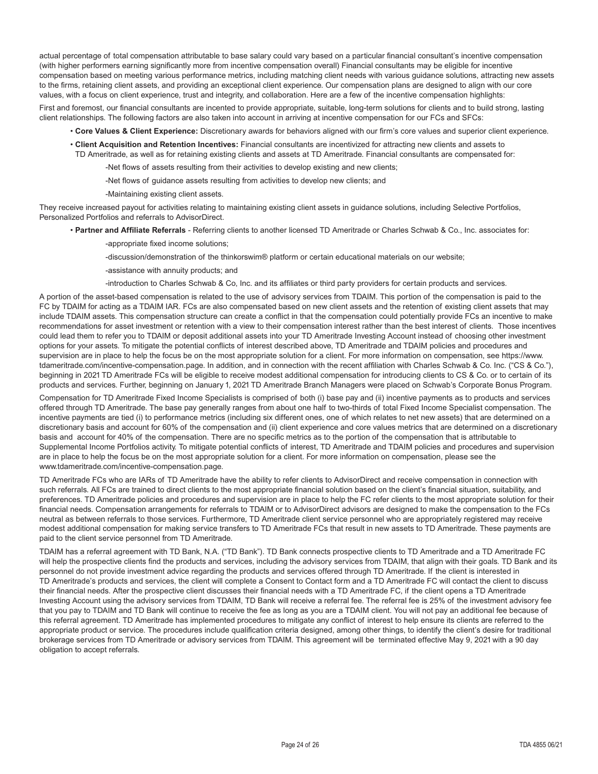actual percentage of total compensation attributable to base salary could vary based on a particular financial consultant's incentive compensation (with higher performers earning significantly more from incentive compensation overall) Financial consultants may be eligible for incentive compensation based on meeting various performance metrics, including matching client needs with various guidance solutions, attracting new assets to the firms, retaining client assets, and providing an exceptional client experience. Our compensation plans are designed to align with our core values, with a focus on client experience, trust and integrity, and collaboration. Here are a few of the incentive compensation highlights:

First and foremost, our financial consultants are incented to provide appropriate, suitable, long-term solutions for clients and to build strong, lasting client relationships. The following factors are also taken into account in arriving at incentive compensation for our FCs and SFCs:

- **Core Values & Client Experience:** Discretionary awards for behaviors aligned with our firm's core values and superior client experience.
- **Client Acquisition and Retention Incentives:** Financial consultants are incentivized for attracting new clients and assets to TD Ameritrade, as well as for retaining existing clients and assets at TD Ameritrade. Financial consultants are compensated for:
	- -Net flows of assets resulting from their activities to develop existing and new clients;
	- -Net flows of guidance assets resulting from activities to develop new clients; and
	- -Maintaining existing client assets.

They receive increased payout for activities relating to maintaining existing client assets in guidance solutions, including Selective Portfolios, Personalized Portfolios and referrals to AdvisorDirect.

- **Partner and Affiliate Referrals** Referring clients to another licensed TD Ameritrade or Charles Schwab & Co., Inc. associates for:
	- -appropriate fixed income solutions;
	- -discussion/demonstration of the thinkorswim® platform or certain educational materials on our website;

-assistance with annuity products; and

-introduction to Charles Schwab & Co, Inc. and its affiliates or third party providers for certain products and services.

A portion of the asset-based compensation is related to the use of advisory services from TDAIM. This portion of the compensation is paid to the FC by TDAIM for acting as a TDAIM IAR. FCs are also compensated based on new client assets and the retention of existing client assets that may include TDAIM assets. This compensation structure can create a conflict in that the compensation could potentially provide FCs an incentive to make recommendations for asset investment or retention with a view to their compensation interest rather than the best interest of clients. Those incentives could lead them to refer you to TDAIM or deposit additional assets into your TD Ameritrade Investing Account instead of choosing other investment options for your assets. To mitigate the potential conflicts of interest described above, TD Ameritrade and TDAIM policies and procedures and supervision are in place to help the focus be on the most appropriate solution for a client. For more information on compensation, see https://www. tdameritrade.com/incentive-compensation.page. In addition, and in connection with the recent affiliation with Charles Schwab & Co. Inc. ("CS & Co."), beginning in 2021 TD Ameritrade FCs will be eligible to receive modest additional compensation for introducing clients to CS & Co. or to certain of its products and services. Further, beginning on January 1, 2021 TD Ameritrade Branch Managers were placed on Schwab's Corporate Bonus Program.

Compensation for TD Ameritrade Fixed Income Specialists is comprised of both (i) base pay and (ii) incentive payments as to products and services offered through TD Ameritrade. The base pay generally ranges from about one half to two-thirds of total Fixed Income Specialist compensation. The incentive payments are tied (i) to performance metrics (including six different ones, one of which relates to net new assets) that are determined on a discretionary basis and account for 60% of the compensation and (ii) client experience and core values metrics that are determined on a discretionary basis and account for 40% of the compensation. There are no specific metrics as to the portion of the compensation that is attributable to Supplemental Income Portfolios activity. To mitigate potential conflicts of interest, TD Ameritrade and TDAIM policies and procedures and supervision are in place to help the focus be on the most appropriate solution for a client. For more information on compensation, please see the www.tdameritrade.com/incentive-compensation.page.

TD Ameritrade FCs who are IARs of TD Ameritrade have the ability to refer clients to AdvisorDirect and receive compensation in connection with such referrals. All FCs are trained to direct clients to the most appropriate financial solution based on the client's financial situation, suitability, and preferences. TD Ameritrade policies and procedures and supervision are in place to help the FC refer clients to the most appropriate solution for their financial needs. Compensation arrangements for referrals to TDAIM or to AdvisorDirect advisors are designed to make the compensation to the FCs neutral as between referrals to those services. Furthermore, TD Ameritrade client service personnel who are appropriately registered may receive modest additional compensation for making service transfers to TD Ameritrade FCs that result in new assets to TD Ameritrade. These payments are paid to the client service personnel from TD Ameritrade.

TDAIM has a referral agreement with TD Bank, N.A. ("TD Bank"). TD Bank connects prospective clients to TD Ameritrade and a TD Ameritrade FC will help the prospective clients find the products and services, including the advisory services from TDAIM, that align with their goals. TD Bank and its personnel do not provide investment advice regarding the products and services offered through TD Ameritrade. If the client is interested in TD Ameritrade's products and services, the client will complete a Consent to Contact form and a TD Ameritrade FC will contact the client to discuss their financial needs. After the prospective client discusses their financial needs with a TD Ameritrade FC, if the client opens a TD Ameritrade Investing Account using the advisory services from TDAIM, TD Bank will receive a referral fee. The referral fee is 25% of the investment advisory fee that you pay to TDAIM and TD Bank will continue to receive the fee as long as you are a TDAIM client. You will not pay an additional fee because of this referral agreement. TD Ameritrade has implemented procedures to mitigate any conflict of interest to help ensure its clients are referred to the appropriate product or service. The procedures include qualification criteria designed, among other things, to identify the client's desire for traditional brokerage services from TD Ameritrade or advisory services from TDAIM. This agreement will be terminated effective May 9, 2021 with a 90 day obligation to accept referrals.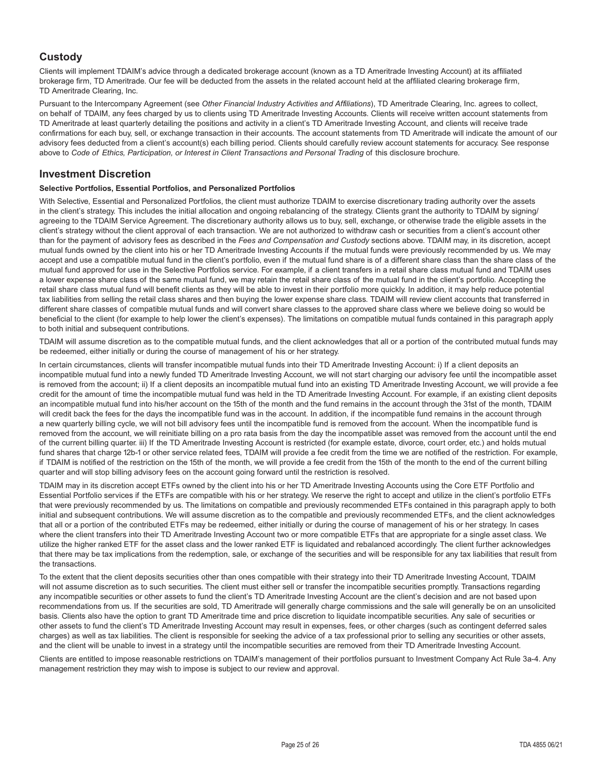# **Custody**

Clients will implement TDAIM's advice through a dedicated brokerage account (known as a TD Ameritrade Investing Account) at its affiliated brokerage firm, TD Ameritrade. Our fee will be deducted from the assets in the related account held at the affiliated clearing brokerage firm, TD Ameritrade Clearing, Inc.

Pursuant to the Intercompany Agreement (see *Other Financial Industry Activities and Affiliations*), TD Ameritrade Clearing, Inc. agrees to collect, on behalf of TDAIM, any fees charged by us to clients using TD Ameritrade Investing Accounts. Clients will receive written account statements from TD Ameritrade at least quarterly detailing the positions and activity in a client's TD Ameritrade Investing Account, and clients will receive trade confirmations for each buy, sell, or exchange transaction in their accounts. The account statements from TD Ameritrade will indicate the amount of our advisory fees deducted from a client's account(s) each billing period. Clients should carefully review account statements for accuracy. See response above to *Code of Ethics, Participation, or Interest in Client Transactions and Personal Trading* of this disclosure brochure.

## **Investment Discretion**

#### **Selective Portfolios, Essential Portfolios, and Personalized Portfolios**

With Selective, Essential and Personalized Portfolios, the client must authorize TDAIM to exercise discretionary trading authority over the assets in the client's strategy. This includes the initial allocation and ongoing rebalancing of the strategy. Clients grant the authority to TDAIM by signing/ agreeing to the TDAIM Service Agreement. The discretionary authority allows us to buy, sell, exchange, or otherwise trade the eligible assets in the client's strategy without the client approval of each transaction. We are not authorized to withdraw cash or securities from a client's account other than for the payment of advisory fees as described in the *Fees and Compensation and Custody* sections above. TDAIM may, in its discretion, accept mutual funds owned by the client into his or her TD Ameritrade Investing Accounts if the mutual funds were previously recommended by us. We may accept and use a compatible mutual fund in the client's portfolio, even if the mutual fund share is of a different share class than the share class of the mutual fund approved for use in the Selective Portfolios service. For example, if a client transfers in a retail share class mutual fund and TDAIM uses a lower expense share class of the same mutual fund, we may retain the retail share class of the mutual fund in the client's portfolio. Accepting the retail share class mutual fund will benefit clients as they will be able to invest in their portfolio more quickly. In addition, it may help reduce potential tax liabilities from selling the retail class shares and then buying the lower expense share class. TDAIM will review client accounts that transferred in different share classes of compatible mutual funds and will convert share classes to the approved share class where we believe doing so would be beneficial to the client (for example to help lower the client's expenses). The limitations on compatible mutual funds contained in this paragraph apply to both initial and subsequent contributions.

TDAIM will assume discretion as to the compatible mutual funds, and the client acknowledges that all or a portion of the contributed mutual funds may be redeemed, either initially or during the course of management of his or her strategy.

In certain circumstances, clients will transfer incompatible mutual funds into their TD Ameritrade Investing Account: i) If a client deposits an incompatible mutual fund into a newly funded TD Ameritrade Investing Account, we will not start charging our advisory fee until the incompatible asset is removed from the account; ii) If a client deposits an incompatible mutual fund into an existing TD Ameritrade Investing Account, we will provide a fee credit for the amount of time the incompatible mutual fund was held in the TD Ameritrade Investing Account. For example, if an existing client deposits an incompatible mutual fund into his/her account on the 15th of the month and the fund remains in the account through the 31st of the month, TDAIM will credit back the fees for the days the incompatible fund was in the account. In addition, if the incompatible fund remains in the account through a new quarterly billing cycle, we will not bill advisory fees until the incompatible fund is removed from the account. When the incompatible fund is removed from the account, we will reinitiate billing on a pro rata basis from the day the incompatible asset was removed from the account until the end of the current billing quarter. iii) If the TD Ameritrade Investing Account is restricted (for example estate, divorce, court order, etc.) and holds mutual fund shares that charge 12b-1 or other service related fees, TDAIM will provide a fee credit from the time we are notified of the restriction. For example, if TDAIM is notified of the restriction on the 15th of the month, we will provide a fee credit from the 15th of the month to the end of the current billing quarter and will stop billing advisory fees on the account going forward until the restriction is resolved.

TDAIM may in its discretion accept ETFs owned by the client into his or her TD Ameritrade Investing Accounts using the Core ETF Portfolio and Essential Portfolio services if the ETFs are compatible with his or her strategy. We reserve the right to accept and utilize in the client's portfolio ETFs that were previously recommended by us. The limitations on compatible and previously recommended ETFs contained in this paragraph apply to both initial and subsequent contributions. We will assume discretion as to the compatible and previously recommended ETFs, and the client acknowledges that all or a portion of the contributed ETFs may be redeemed, either initially or during the course of management of his or her strategy. In cases where the client transfers into their TD Ameritrade Investing Account two or more compatible ETFs that are appropriate for a single asset class. We utilize the higher ranked ETF for the asset class and the lower ranked ETF is liquidated and rebalanced accordingly. The client further acknowledges that there may be tax implications from the redemption, sale, or exchange of the securities and will be responsible for any tax liabilities that result from the transactions.

To the extent that the client deposits securities other than ones compatible with their strategy into their TD Ameritrade Investing Account, TDAIM will not assume discretion as to such securities. The client must either sell or transfer the incompatible securities promptly. Transactions regarding any incompatible securities or other assets to fund the client's TD Ameritrade Investing Account are the client's decision and are not based upon recommendations from us. If the securities are sold, TD Ameritrade will generally charge commissions and the sale will generally be on an unsolicited basis. Clients also have the option to grant TD Ameritrade time and price discretion to liquidate incompatible securities. Any sale of securities or other assets to fund the client's TD Ameritrade Investing Account may result in expenses, fees, or other charges (such as contingent deferred sales charges) as well as tax liabilities. The client is responsible for seeking the advice of a tax professional prior to selling any securities or other assets, and the client will be unable to invest in a strategy until the incompatible securities are removed from their TD Ameritrade Investing Account.

Clients are entitled to impose reasonable restrictions on TDAIM's management of their portfolios pursuant to Investment Company Act Rule 3a-4. Any management restriction they may wish to impose is subject to our review and approval.